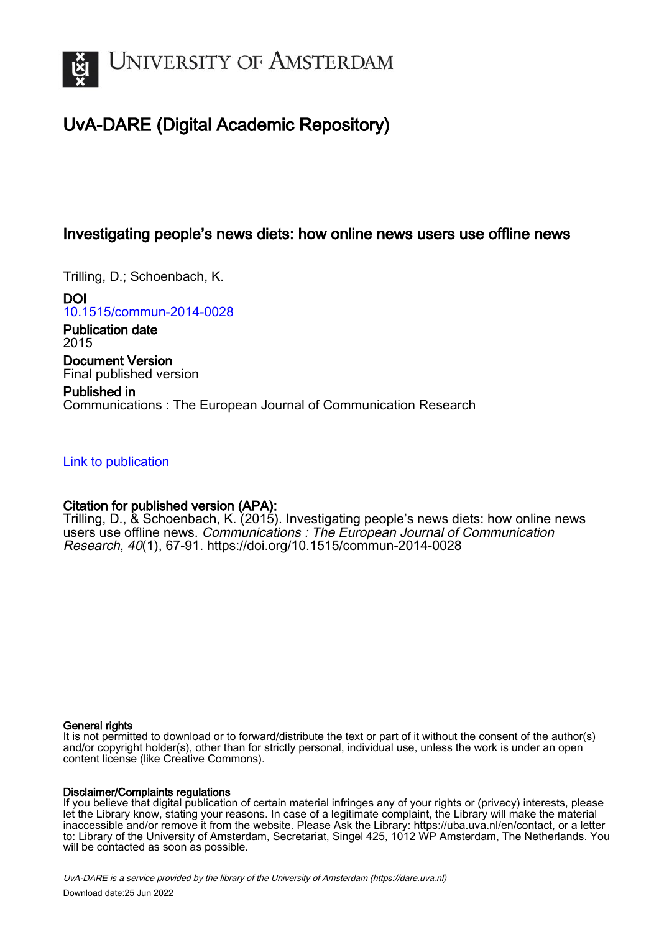

# UvA-DARE (Digital Academic Repository)

## Investigating people's news diets: how online news users use offline news

Trilling, D.; Schoenbach, K.

DOI [10.1515/commun-2014-0028](https://doi.org/10.1515/commun-2014-0028)

Publication date 2015 Document Version

Final published version Published in Communications : The European Journal of Communication Research

[Link to publication](https://dare.uva.nl/personal/pure/en/publications/investigating-peoples-news-diets-how-online-news-users-use-offline-news(96fd4213-7811-4f38-b431-49eabbad64e0).html)

### Citation for published version (APA):

Trilling, D., & Schoenbach, K. (2015). Investigating people's news diets: how online news users use offline news. Communications : The European Journal of Communication Research, 40(1), 67-91. <https://doi.org/10.1515/commun-2014-0028>

#### General rights

It is not permitted to download or to forward/distribute the text or part of it without the consent of the author(s) and/or copyright holder(s), other than for strictly personal, individual use, unless the work is under an open content license (like Creative Commons).

#### Disclaimer/Complaints regulations

If you believe that digital publication of certain material infringes any of your rights or (privacy) interests, please let the Library know, stating your reasons. In case of a legitimate complaint, the Library will make the material inaccessible and/or remove it from the website. Please Ask the Library: https://uba.uva.nl/en/contact, or a letter to: Library of the University of Amsterdam, Secretariat, Singel 425, 1012 WP Amsterdam, The Netherlands. You will be contacted as soon as possible.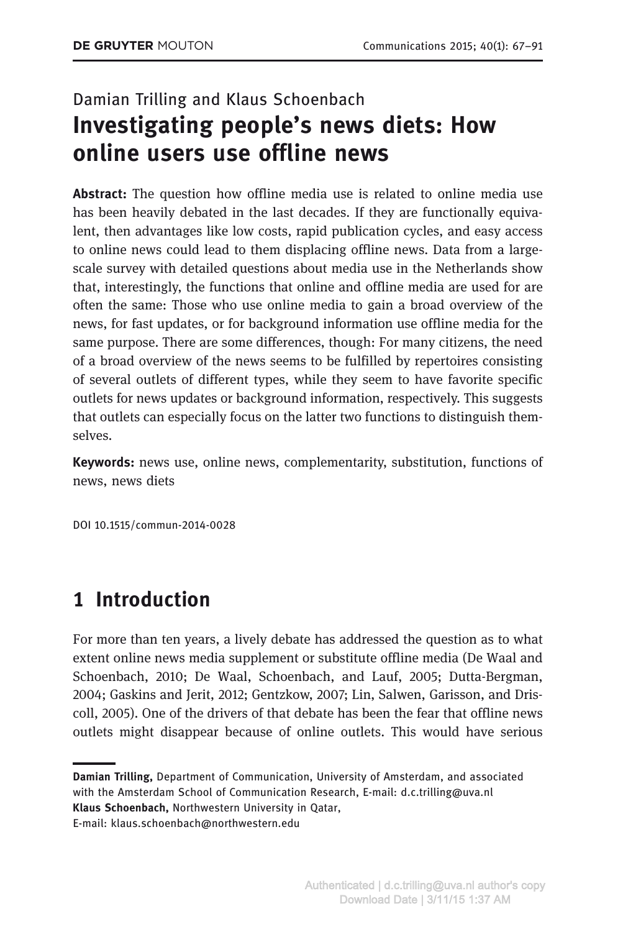# Damian Trilling and Klaus Schoenbach **Investigating people's news diets: How online users use offline news**

**Abstract:** The question how offline media use is related to online media use has been heavily debated in the last decades. If they are functionally equivalent, then advantages like low costs, rapid publication cycles, and easy access to online news could lead to them displacing offline news. Data from a largescale survey with detailed questions about media use in the Netherlands show that, interestingly, the functions that online and offline media are used for are often the same: Those who use online media to gain a broad overview of the news, for fast updates, or for background information use offline media for the same purpose. There are some differences, though: For many citizens, the need of a broad overview of the news seems to be fulfilled by repertoires consisting of several outlets of different types, while they seem to have favorite specific outlets for news updates or background information, respectively. This suggests that outlets can especially focus on the latter two functions to distinguish themselves.

**Keywords:** news use, online news, complementarity, substitution, functions of news, news diets

DOI 10.1515/commun-2014-0028

# **1 Introduction**

For more than ten years, a lively debate has addressed the question as to what extent online news media supplement or substitute offline media (De Waal and Schoenbach, 2010; De Waal, Schoenbach, and Lauf, 2005; Dutta-Bergman, 2004; Gaskins and Jerit, 2012; Gentzkow, 2007; Lin, Salwen, Garisson, and Driscoll, 2005). One of the drivers of that debate has been the fear that offline news outlets might disappear because of online outlets. This would have serious

E-mail: klaus.schoenbach@northwestern.edu

**Damian Trilling,** Department of Communication, University of Amsterdam, and associated with the Amsterdam School of Communication Research, E-mail: d.c.trilling@uva.nl **Klaus Schoenbach,** Northwestern University in Qatar,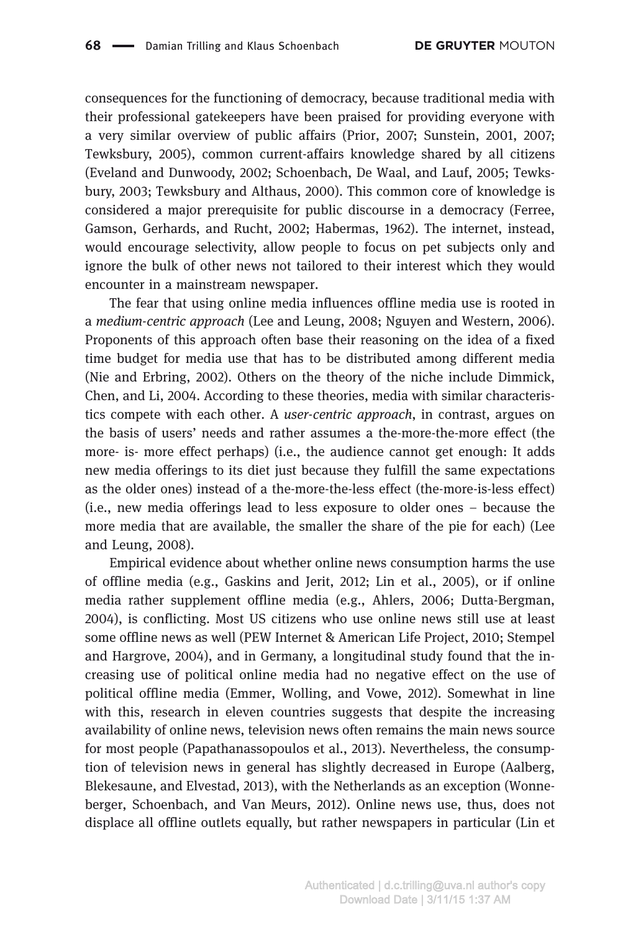consequences for the functioning of democracy, because traditional media with their professional gatekeepers have been praised for providing everyone with a very similar overview of public affairs (Prior, 2007; Sunstein, 2001, 2007; Tewksbury, 2005), common current-affairs knowledge shared by all citizens (Eveland and Dunwoody, 2002; Schoenbach, De Waal, and Lauf, 2005; Tewksbury, 2003; Tewksbury and Althaus, 2000). This common core of knowledge is considered a major prerequisite for public discourse in a democracy (Ferree, Gamson, Gerhards, and Rucht, 2002; Habermas, 1962). The internet, instead, would encourage selectivity, allow people to focus on pet subjects only and ignore the bulk of other news not tailored to their interest which they would encounter in a mainstream newspaper.

The fear that using online media influences offline media use is rooted in a *medium-centric approach* (Lee and Leung, 2008; Nguyen and Western, 2006). Proponents of this approach often base their reasoning on the idea of a fixed time budget for media use that has to be distributed among different media (Nie and Erbring, 2002). Others on the theory of the niche include Dimmick, Chen, and Li, 2004. According to these theories, media with similar characteristics compete with each other. A *user-centric approach*, in contrast, argues on the basis of users' needs and rather assumes a the-more-the-more effect (the more- is- more effect perhaps) (i.e., the audience cannot get enough: It adds new media offerings to its diet just because they fulfill the same expectations as the older ones) instead of a the-more-the-less effect (the-more-is-less effect) (i.e., new media offerings lead to less exposure to older ones – because the more media that are available, the smaller the share of the pie for each) (Lee and Leung, 2008).

Empirical evidence about whether online news consumption harms the use of offline media (e.g., Gaskins and Jerit, 2012; Lin et al., 2005), or if online media rather supplement offline media (e.g., Ahlers, 2006; Dutta-Bergman, 2004), is conflicting. Most US citizens who use online news still use at least some offline news as well (PEW Internet & American Life Project, 2010; Stempel and Hargrove, 2004), and in Germany, a longitudinal study found that the increasing use of political online media had no negative effect on the use of political offline media (Emmer, Wolling, and Vowe, 2012). Somewhat in line with this, research in eleven countries suggests that despite the increasing availability of online news, television news often remains the main news source for most people (Papathanassopoulos et al., 2013). Nevertheless, the consumption of television news in general has slightly decreased in Europe (Aalberg, Blekesaune, and Elvestad, 2013), with the Netherlands as an exception (Wonneberger, Schoenbach, and Van Meurs, 2012). Online news use, thus, does not displace all offline outlets equally, but rather newspapers in particular (Lin et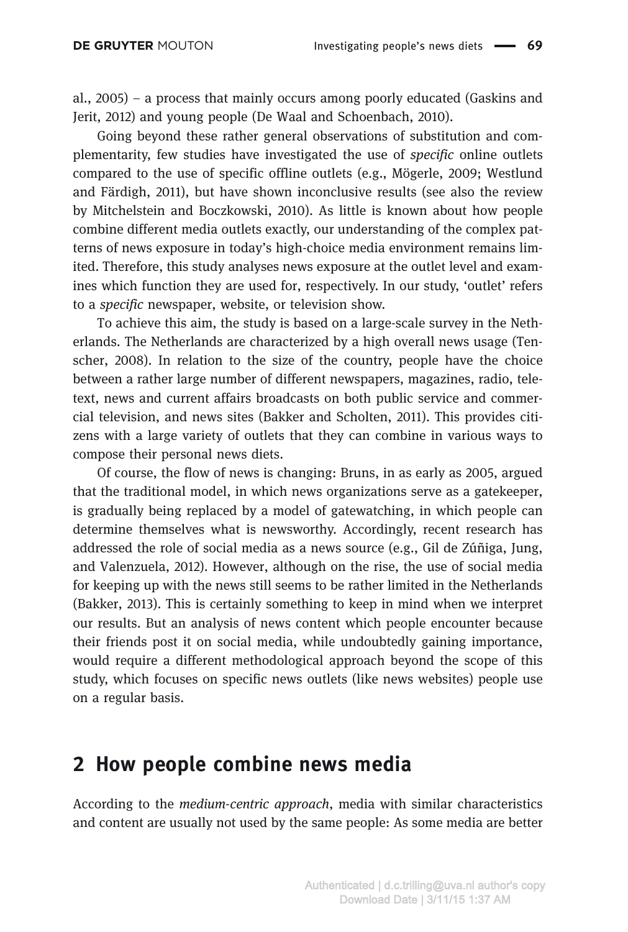al., 2005) – a process that mainly occurs among poorly educated (Gaskins and Jerit, 2012) and young people (De Waal and Schoenbach, 2010).

Going beyond these rather general observations of substitution and complementarity, few studies have investigated the use of *specific* online outlets compared to the use of specific offline outlets (e.g., Mögerle, 2009; Westlund and Färdigh, 2011), but have shown inconclusive results (see also the review by Mitchelstein and Boczkowski, 2010). As little is known about how people combine different media outlets exactly, our understanding of the complex patterns of news exposure in today's high-choice media environment remains limited. Therefore, this study analyses news exposure at the outlet level and examines which function they are used for, respectively. In our study, 'outlet' refers to a *specific* newspaper, website, or television show.

To achieve this aim, the study is based on a large-scale survey in the Netherlands. The Netherlands are characterized by a high overall news usage (Tenscher, 2008). In relation to the size of the country, people have the choice between a rather large number of different newspapers, magazines, radio, teletext, news and current affairs broadcasts on both public service and commercial television, and news sites (Bakker and Scholten, 2011). This provides citizens with a large variety of outlets that they can combine in various ways to compose their personal news diets.

Of course, the flow of news is changing: Bruns, in as early as 2005, argued that the traditional model, in which news organizations serve as a gatekeeper, is gradually being replaced by a model of gatewatching, in which people can determine themselves what is newsworthy. Accordingly, recent research has addressed the role of social media as a news source (e.g., Gil de Zúñiga, Jung, and Valenzuela, 2012). However, although on the rise, the use of social media for keeping up with the news still seems to be rather limited in the Netherlands (Bakker, 2013). This is certainly something to keep in mind when we interpret our results. But an analysis of news content which people encounter because their friends post it on social media, while undoubtedly gaining importance, would require a different methodological approach beyond the scope of this study, which focuses on specific news outlets (like news websites) people use on a regular basis.

### **2 How people combine news media**

According to the *medium-centric approach*, media with similar characteristics and content are usually not used by the same people: As some media are better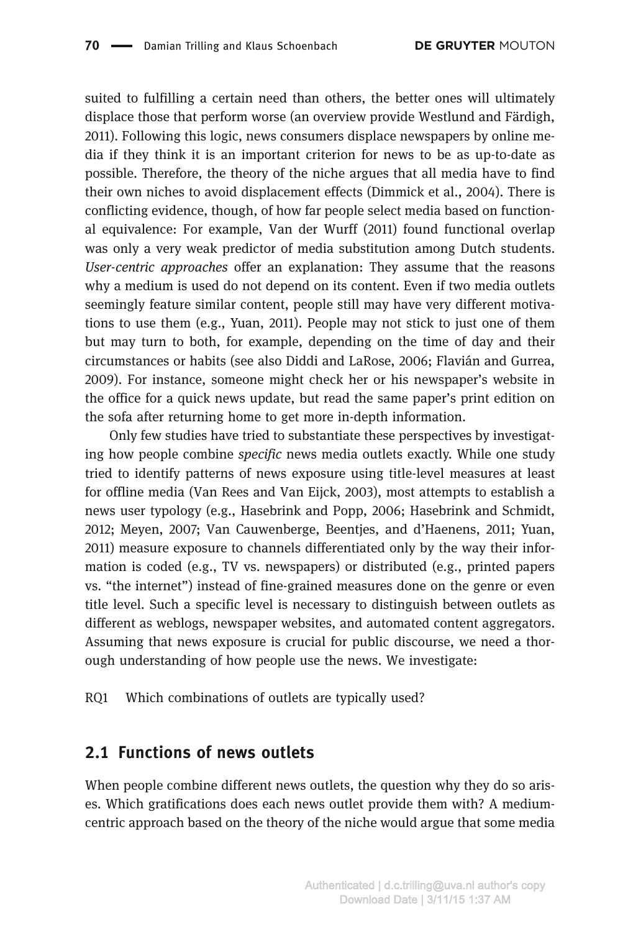suited to fulfilling a certain need than others, the better ones will ultimately displace those that perform worse (an overview provide Westlund and Färdigh, 2011). Following this logic, news consumers displace newspapers by online media if they think it is an important criterion for news to be as up-to-date as possible. Therefore, the theory of the niche argues that all media have to find their own niches to avoid displacement effects (Dimmick et al., 2004). There is conflicting evidence, though, of how far people select media based on functional equivalence: For example, Van der Wurff (2011) found functional overlap was only a very weak predictor of media substitution among Dutch students. *User-centric approaches* offer an explanation: They assume that the reasons why a medium is used do not depend on its content. Even if two media outlets seemingly feature similar content, people still may have very different motivations to use them (e.g., Yuan, 2011). People may not stick to just one of them but may turn to both, for example, depending on the time of day and their circumstances or habits (see also Diddi and LaRose, 2006; Flavián and Gurrea, 2009). For instance, someone might check her or his newspaper's website in the office for a quick news update, but read the same paper's print edition on the sofa after returning home to get more in-depth information.

Only few studies have tried to substantiate these perspectives by investigating how people combine *specific* news media outlets exactly. While one study tried to identify patterns of news exposure using title-level measures at least for offline media (Van Rees and Van Eijck, 2003), most attempts to establish a news user typology (e.g., Hasebrink and Popp, 2006; Hasebrink and Schmidt, 2012; Meyen, 2007; Van Cauwenberge, Beentjes, and d'Haenens, 2011; Yuan, 2011) measure exposure to channels differentiated only by the way their information is coded (e.g., TV vs. newspapers) or distributed (e.g., printed papers vs. "the internet") instead of fine-grained measures done on the genre or even title level. Such a specific level is necessary to distinguish between outlets as different as weblogs, newspaper websites, and automated content aggregators. Assuming that news exposure is crucial for public discourse, we need a thorough understanding of how people use the news. We investigate:

RQ1 Which combinations of outlets are typically used?

#### **2.1 Functions of news outlets**

When people combine different news outlets, the question why they do so arises. Which gratifications does each news outlet provide them with? A mediumcentric approach based on the theory of the niche would argue that some media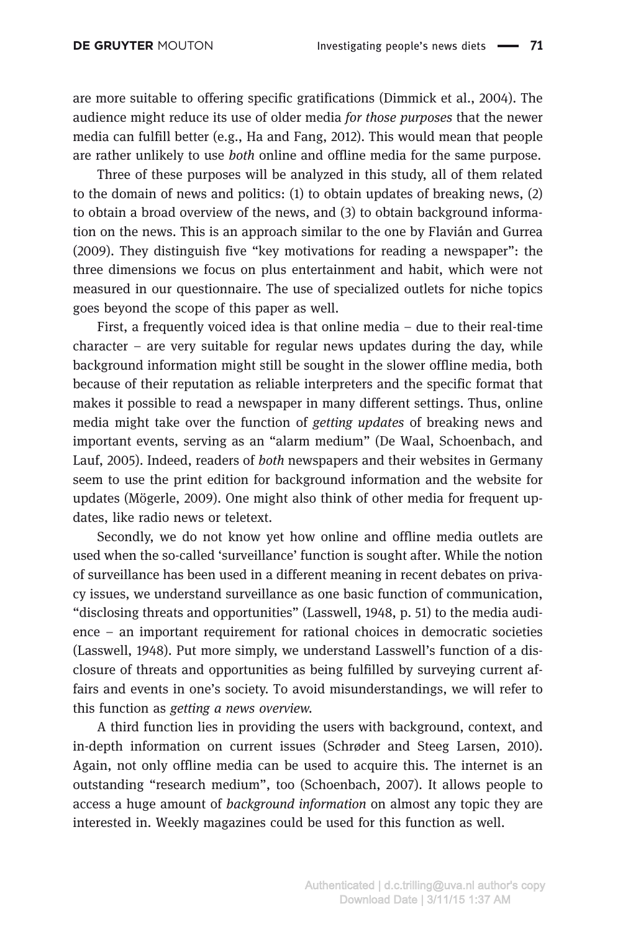are more suitable to offering specific gratifications (Dimmick et al., 2004). The audience might reduce its use of older media *for those purposes* that the newer media can fulfill better (e.g., Ha and Fang, 2012). This would mean that people are rather unlikely to use *both* online and offline media for the same purpose.

Three of these purposes will be analyzed in this study, all of them related to the domain of news and politics: (1) to obtain updates of breaking news, (2) to obtain a broad overview of the news, and (3) to obtain background information on the news. This is an approach similar to the one by Flavián and Gurrea (2009). They distinguish five "key motivations for reading a newspaper": the three dimensions we focus on plus entertainment and habit, which were not measured in our questionnaire. The use of specialized outlets for niche topics goes beyond the scope of this paper as well.

First, a frequently voiced idea is that online media – due to their real-time character – are very suitable for regular news updates during the day, while background information might still be sought in the slower offline media, both because of their reputation as reliable interpreters and the specific format that makes it possible to read a newspaper in many different settings. Thus, online media might take over the function of *getting updates* of breaking news and important events, serving as an "alarm medium" (De Waal, Schoenbach, and Lauf, 2005). Indeed, readers of *both* newspapers and their websites in Germany seem to use the print edition for background information and the website for updates (Mögerle, 2009). One might also think of other media for frequent updates, like radio news or teletext.

Secondly, we do not know yet how online and offline media outlets are used when the so-called 'surveillance' function is sought after. While the notion of surveillance has been used in a different meaning in recent debates on privacy issues, we understand surveillance as one basic function of communication, "disclosing threats and opportunities" (Lasswell, 1948, p. 51) to the media audience – an important requirement for rational choices in democratic societies (Lasswell, 1948). Put more simply, we understand Lasswell's function of a disclosure of threats and opportunities as being fulfilled by surveying current affairs and events in one's society. To avoid misunderstandings, we will refer to this function as *getting a news overview*.

A third function lies in providing the users with background, context, and in-depth information on current issues (Schrøder and Steeg Larsen, 2010). Again, not only offline media can be used to acquire this. The internet is an outstanding "research medium", too (Schoenbach, 2007). It allows people to access a huge amount of *background information* on almost any topic they are interested in. Weekly magazines could be used for this function as well.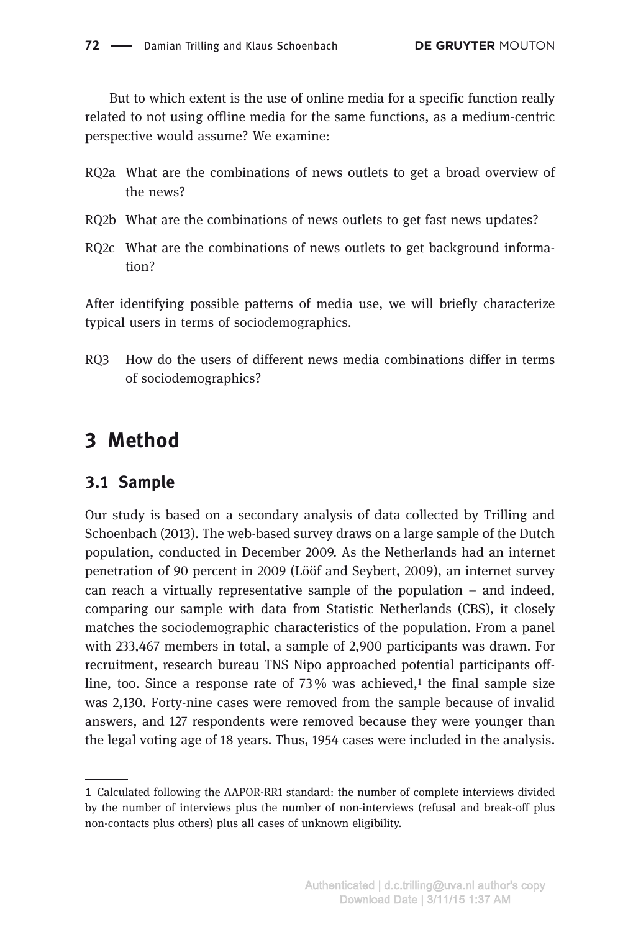But to which extent is the use of online media for a specific function really related to not using offline media for the same functions, as a medium-centric perspective would assume? We examine:

- RQ2a What are the combinations of news outlets to get a broad overview of the news?
- RQ2b What are the combinations of news outlets to get fast news updates?
- RQ2c What are the combinations of news outlets to get background information?

After identifying possible patterns of media use, we will briefly characterize typical users in terms of sociodemographics.

RQ3 How do the users of different news media combinations differ in terms of sociodemographics?

## **3 Method**

#### **3.1 Sample**

Our study is based on a secondary analysis of data collected by Trilling and Schoenbach (2013). The web-based survey draws on a large sample of the Dutch population, conducted in December 2009. As the Netherlands had an internet penetration of 90 percent in 2009 (Lööf and Seybert, 2009), an internet survey can reach a virtually representative sample of the population  $-$  and indeed, comparing our sample with data from Statistic Netherlands (CBS), it closely matches the sociodemographic characteristics of the population. From a panel with 233,467 members in total, a sample of 2,900 participants was drawn. For recruitment, research bureau TNS Nipo approached potential participants offline, too. Since a response rate of  $73\%$  was achieved,<sup>1</sup> the final sample size was 2,130. Forty-nine cases were removed from the sample because of invalid answers, and 127 respondents were removed because they were younger than the legal voting age of 18 years. Thus, 1954 cases were included in the analysis.

**<sup>1</sup>** Calculated following the AAPOR-RR1 standard: the number of complete interviews divided by the number of interviews plus the number of non-interviews (refusal and break-off plus non-contacts plus others) plus all cases of unknown eligibility.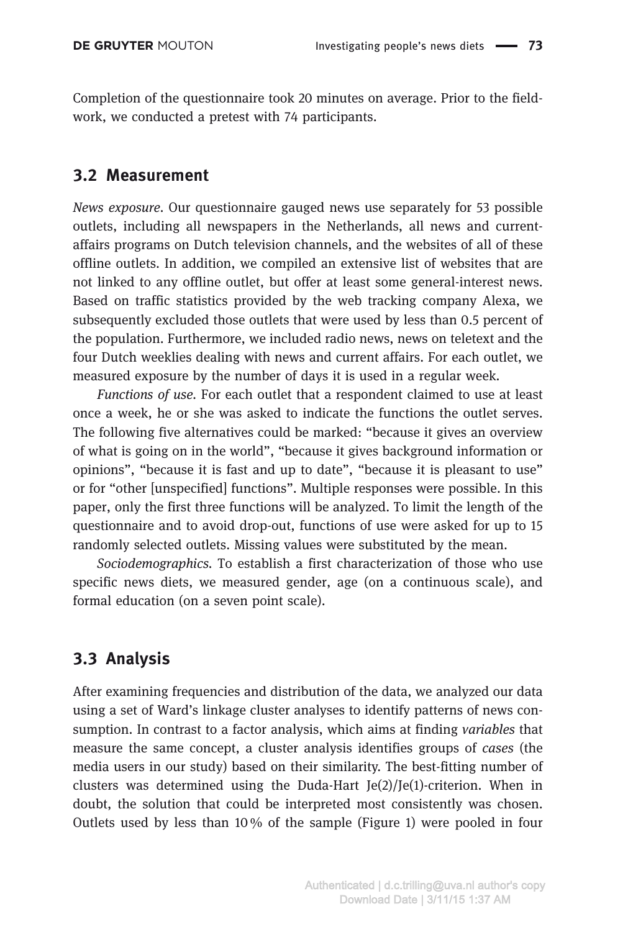Completion of the questionnaire took 20 minutes on average. Prior to the fieldwork, we conducted a pretest with 74 participants.

### **3.2 Measurement**

*News exposure.* Our questionnaire gauged news use separately for 53 possible outlets, including all newspapers in the Netherlands, all news and currentaffairs programs on Dutch television channels, and the websites of all of these offline outlets. In addition, we compiled an extensive list of websites that are not linked to any offline outlet, but offer at least some general-interest news. Based on traffic statistics provided by the web tracking company Alexa, we subsequently excluded those outlets that were used by less than 0.5 percent of the population. Furthermore, we included radio news, news on teletext and the four Dutch weeklies dealing with news and current affairs. For each outlet, we measured exposure by the number of days it is used in a regular week.

*Functions of use.* For each outlet that a respondent claimed to use at least once a week, he or she was asked to indicate the functions the outlet serves. The following five alternatives could be marked: "because it gives an overview of what is going on in the world", "because it gives background information or opinions", "because it is fast and up to date", "because it is pleasant to use" or for "other [unspecified] functions". Multiple responses were possible. In this paper, only the first three functions will be analyzed. To limit the length of the questionnaire and to avoid drop-out, functions of use were asked for up to 15 randomly selected outlets. Missing values were substituted by the mean.

*Sociodemographics.* To establish a first characterization of those who use specific news diets, we measured gender, age (on a continuous scale), and formal education (on a seven point scale).

### **3.3 Analysis**

After examining frequencies and distribution of the data, we analyzed our data using a set of Ward's linkage cluster analyses to identify patterns of news consumption. In contrast to a factor analysis, which aims at finding *variables* that measure the same concept, a cluster analysis identifies groups of *cases* (the media users in our study) based on their similarity. The best-fitting number of clusters was determined using the Duda-Hart  $Je(2)/Je(1)$ -criterion. When in doubt, the solution that could be interpreted most consistently was chosen. Outlets used by less than 10 % of the sample (Figure 1) were pooled in four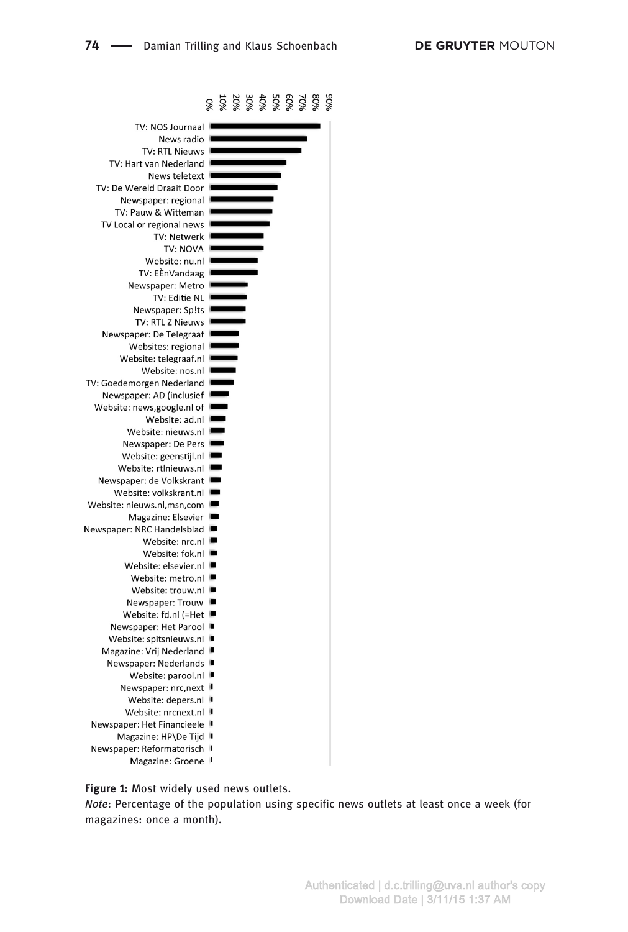**8 8 8 8 8 8 9 8 9** 



#### **Figure 1:** Most widely used news outlets.

*Note*: Percentage of the population using specific news outlets at least once a week (for magazines: once a month).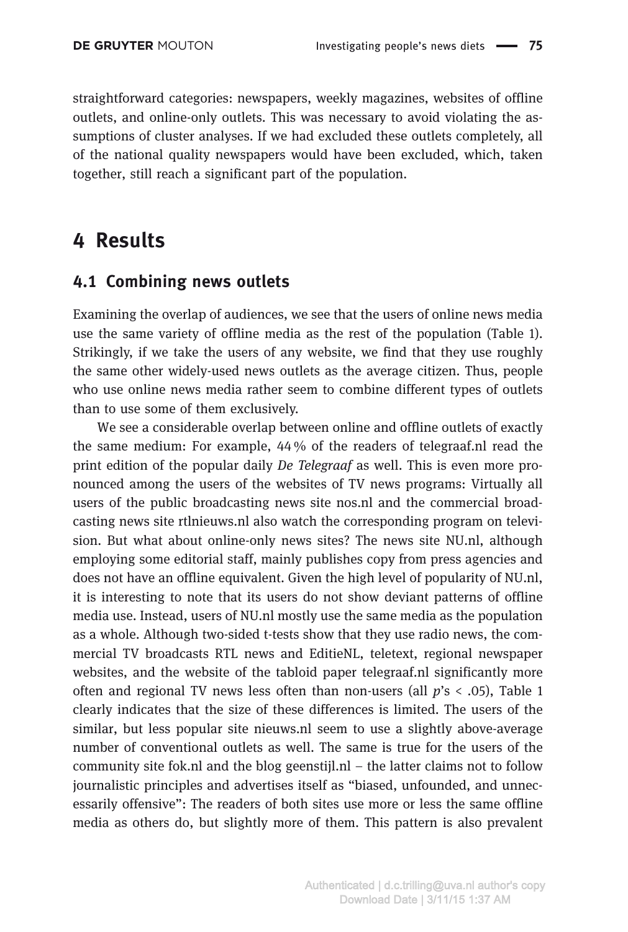straightforward categories: newspapers, weekly magazines, websites of offline outlets, and online-only outlets. This was necessary to avoid violating the assumptions of cluster analyses. If we had excluded these outlets completely, all of the national quality newspapers would have been excluded, which, taken together, still reach a significant part of the population.

### **4 Results**

### **4.1 Combining news outlets**

Examining the overlap of audiences, we see that the users of online news media use the same variety of offline media as the rest of the population (Table 1). Strikingly, if we take the users of any website, we find that they use roughly the same other widely-used news outlets as the average citizen. Thus, people who use online news media rather seem to combine different types of outlets than to use some of them exclusively.

We see a considerable overlap between online and offline outlets of exactly the same medium: For example, 44 % of the readers of telegraaf.nl read the print edition of the popular daily *De Telegraaf* as well. This is even more pronounced among the users of the websites of TV news programs: Virtually all users of the public broadcasting news site nos.nl and the commercial broadcasting news site rtlnieuws.nl also watch the corresponding program on television. But what about online-only news sites? The news site NU.nl, although employing some editorial staff, mainly publishes copy from press agencies and does not have an offline equivalent. Given the high level of popularity of NU.nl, it is interesting to note that its users do not show deviant patterns of offline media use. Instead, users of NU.nl mostly use the same media as the population as a whole. Although two-sided t-tests show that they use radio news, the commercial TV broadcasts RTL news and EditieNL, teletext, regional newspaper websites, and the website of the tabloid paper telegraaf.nl significantly more often and regional TV news less often than non-users (all *p*'s < .05), Table 1 clearly indicates that the size of these differences is limited. The users of the similar, but less popular site nieuws.nl seem to use a slightly above-average number of conventional outlets as well. The same is true for the users of the community site fok.nl and the blog geenstijl.nl  $-$  the latter claims not to follow journalistic principles and advertises itself as "biased, unfounded, and unnecessarily offensive": The readers of both sites use more or less the same offline media as others do, but slightly more of them. This pattern is also prevalent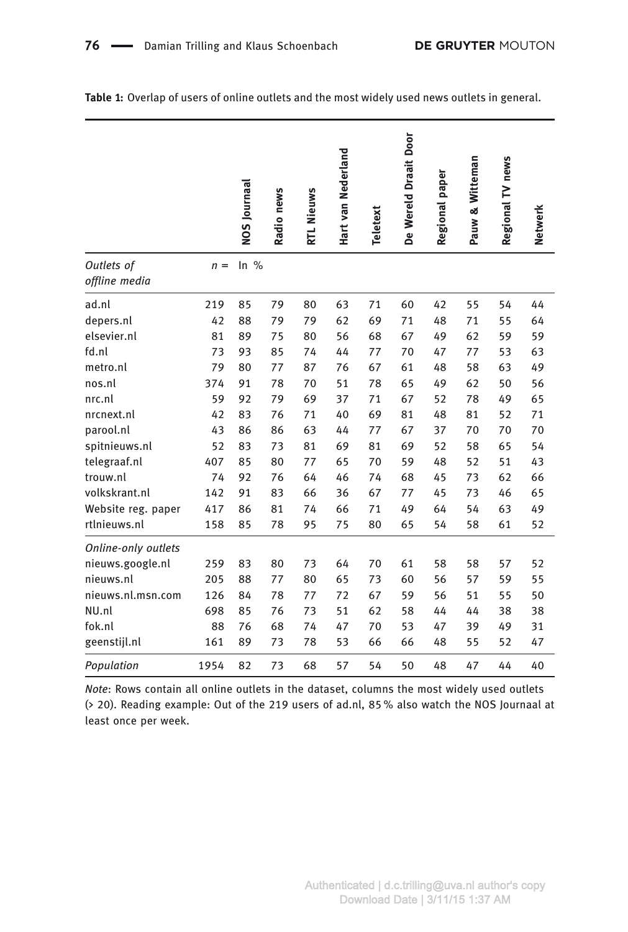|                             |       |              |            |            | Hart van Nederland |                 | De Wereld Draait Door |                | Pauw & Witteman | Regional TV news |         |
|-----------------------------|-------|--------------|------------|------------|--------------------|-----------------|-----------------------|----------------|-----------------|------------------|---------|
|                             |       | NOS Journaal | Radio news | RTL Nieuws |                    | <b>Teletext</b> |                       | Regional paper |                 |                  | Netwerk |
| Outlets of<br>offline media | $n =$ | In $%$       |            |            |                    |                 |                       |                |                 |                  |         |
| ad.nl                       | 219   | 85           | 79         | 80         | 63                 | 71              | 60                    | 42             | 55              | 54               | 44      |
| depers.nl                   | 42    | 88           | 79         | 79         | 62                 | 69              | 71                    | 48             | 71              | 55               | 64      |
| elsevier.nl                 | 81    | 89           | 75         | 80         | 56                 | 68              | 67                    | 49             | 62              | 59               | 59      |
| fd.nl                       | 73    | 93           | 85         | 74         | 44                 | 77              | 70                    | 47             | 77              | 53               | 63      |
| metro.nl                    | 79    | 80           | 77         | 87         | 76                 | 67              | 61                    | 48             | 58              | 63               | 49      |
| nos.nl                      | 374   | 91           | 78         | 70         | 51                 | 78              | 65                    | 49             | 62              | 50               | 56      |
| nrc.nl                      | 59    | 92           | 79         | 69         | 37                 | 71              | 67                    | 52             | 78              | 49               | 65      |
| nrcnext.nl                  | 42    | 83           | 76         | 71         | 40                 | 69              | 81                    | 48             | 81              | 52               | 71      |
| parool.nl                   | 43    | 86           | 86         | 63         | 44                 | 77              | 67                    | 37             | 70              | 70               | 70      |
| spitnieuws.nl               | 52    | 83           | 73         | 81         | 69                 | 81              | 69                    | 52             | 58              | 65               | 54      |
| telegraaf.nl                | 407   | 85           | 80         | 77         | 65                 | 70              | 59                    | 48             | 52              | 51               | 43      |
| trouw.nl                    | 74    | 92           | 76         | 64         | 46                 | 74              | 68                    | 45             | 73              | 62               | 66      |
| volkskrant.nl               | 142   | 91           | 83         | 66         | 36                 | 67              | 77                    | 45             | 73              | 46               | 65      |
| Website reg. paper          | 417   | 86           | 81         | 74         | 66                 | 71              | 49                    | 64             | 54              | 63               | 49      |
| rtlnieuws.nl                | 158   | 85           | 78         | 95         | 75                 | 80              | 65                    | 54             | 58              | 61               | 52      |
| Online-only outlets         |       |              |            |            |                    |                 |                       |                |                 |                  |         |
| nieuws.google.nl            | 259   | 83           | 80         | 73         | 64                 | 70              | 61                    | 58             | 58              | 57               | 52      |
| nieuws.nl                   | 205   | 88           | 77         | 80         | 65                 | 73              | 60                    | 56             | 57              | 59               | 55      |
| nieuws.nl.msn.com           | 126   | 84           | 78         | 77         | 72                 | 67              | 59                    | 56             | 51              | 55               | 50      |
| NU.nl                       | 698   | 85           | 76         | 73         | 51                 | 62              | 58                    | 44             | 44              | 38               | 38      |
| fok.nl                      | 88    | 76           | 68         | 74         | 47                 | 70              | 53                    | 47             | 39              | 49               | 31      |
| geenstijl.nl                | 161   | 89           | 73         | 78         | 53                 | 66              | 66                    | 48             | 55              | 52               | 47      |
| Population                  | 1954  | 82           | 73         | 68         | 57                 | 54              | 50                    | 48             | 47              | 44               | 40      |

| Table 1: Overlap of users of online outlets and the most widely used news outlets in general. |  |  |
|-----------------------------------------------------------------------------------------------|--|--|
|-----------------------------------------------------------------------------------------------|--|--|

*Note*: Rows contain all online outlets in the dataset, columns the most widely used outlets (> 20). Reading example: Out of the 219 users of ad.nl, 85 % also watch the NOS Journaal at least once per week.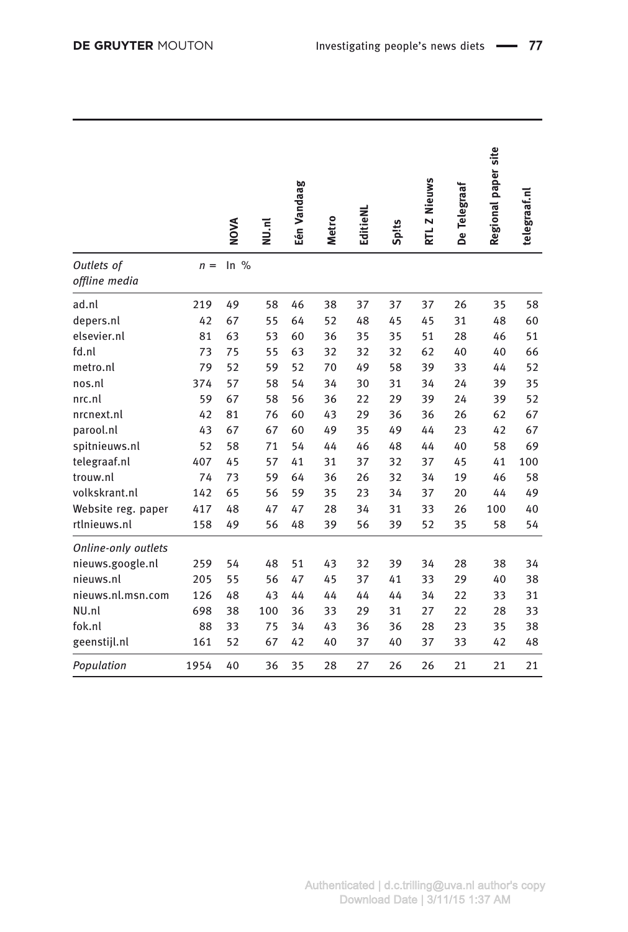|                             |       | <b>NOVA</b> | NU.nl | Eén Vandaag | <b>Metro</b> | EditieNL | Spits | RTL Z Nieuws | De Telegraaf | Regional paper site | telegraaf.nl |
|-----------------------------|-------|-------------|-------|-------------|--------------|----------|-------|--------------|--------------|---------------------|--------------|
| Outlets of<br>offline media | $n =$ | In $%$      |       |             |              |          |       |              |              |                     |              |
| ad.nl                       | 219   | 49          | 58    | 46          | 38           | 37       | 37    | 37           | 26           | 35                  | 58           |
| depers.nl                   | 42    | 67          | 55    | 64          | 52           | 48       | 45    | 45           | 31           | 48                  | 60           |
| elsevier.nl                 | 81    | 63          | 53    | 60          | 36           | 35       | 35    | 51           | 28           | 46                  | 51           |
| fd.nl                       | 73    | 75          | 55    | 63          | 32           | 32       | 32    | 62           | 40           | 40                  | 66           |
| metro.nl                    | 79    | 52          | 59    | 52          | 70           | 49       | 58    | 39           | 33           | 44                  | 52           |
| nos.nl                      | 374   | 57          | 58    | 54          | 34           | 30       | 31    | 34           | 24           | 39                  | 35           |
| nrc.nl                      | 59    | 67          | 58    | 56          | 36           | 22       | 29    | 39           | 24           | 39                  | 52           |
| nrcnext.nl                  | 42    | 81          | 76    | 60          | 43           | 29       | 36    | 36           | 26           | 62                  | 67           |
| parool.nl                   | 43    | 67          | 67    | 60          | 49           | 35       | 49    | 44           | 23           | 42                  | 67           |
| spitnieuws.nl               | 52    | 58          | 71    | 54          | 44           | 46       | 48    | 44           | 40           | 58                  | 69           |
| telegraaf.nl                | 407   | 45          | 57    | 41          | 31           | 37       | 32    | 37           | 45           | 41                  | 100          |
| trouw.nl                    | 74    | 73          | 59    | 64          | 36           | 26       | 32    | 34           | 19           | 46                  | 58           |
| volkskrant.nl               | 142   | 65          | 56    | 59          | 35           | 23       | 34    | 37           | 20           | 44                  | 49           |
| Website reg. paper          | 417   | 48          | 47    | 47          | 28           | 34       | 31    | 33           | 26           | 100                 | 40           |
| rtlnieuws.nl                | 158   | 49          | 56    | 48          | 39           | 56       | 39    | 52           | 35           | 58                  | 54           |
| Online-only outlets         |       |             |       |             |              |          |       |              |              |                     |              |
| nieuws.google.nl            | 259   | 54          | 48    | 51          | 43           | 32       | 39    | 34           | 28           | 38                  | 34           |
| nieuws.nl                   | 205   | 55          | 56    | 47          | 45           | 37       | 41    | 33           | 29           | 40                  | 38           |
| nieuws.nl.msn.com           | 126   | 48          | 43    | 44          | 44           | 44       | 44    | 34           | 22           | 33                  | 31           |
| NU.nl                       | 698   | 38          | 100   | 36          | 33           | 29       | 31    | 27           | 22           | 28                  | 33           |
| fok.nl                      | 88    | 33          | 75    | 34          | 43           | 36       | 36    | 28           | 23           | 35                  | 38           |
| geenstijl.nl                | 161   | 52          | 67    | 42          | 40           | 37       | 40    | 37           | 33           | 42                  | 48           |
| Population                  | 1954  | 40          | 36    | 35          | 28           | 27       | 26    | 26           | 21           | 21                  | 21           |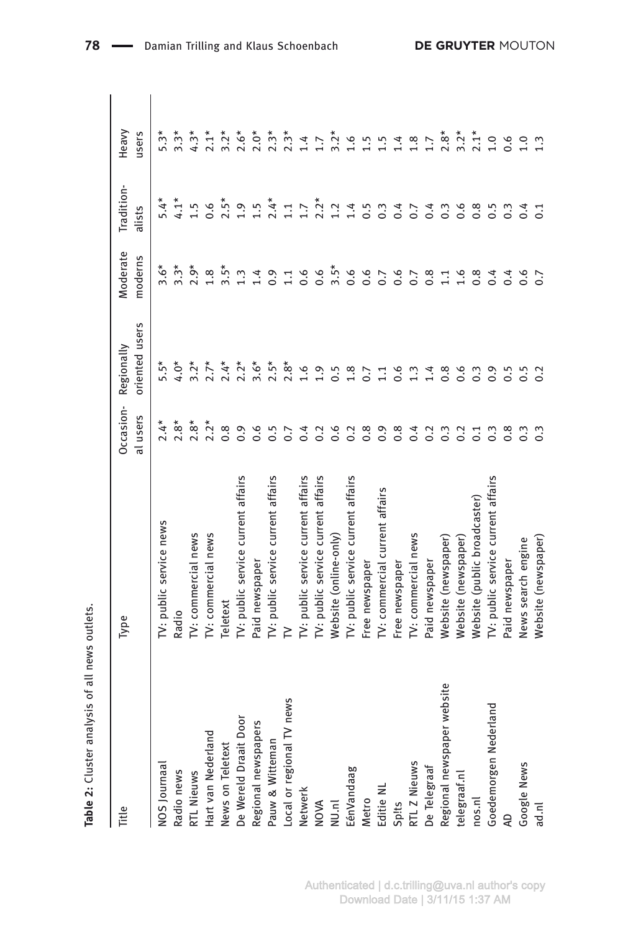| Table 2: Cluster analysis of all news outlets. |                                    |                       |                              |                     |                      |                |  |
|------------------------------------------------|------------------------------------|-----------------------|------------------------------|---------------------|----------------------|----------------|--|
| Title                                          | Type                               | Occasion-<br>al users | oriented users<br>Regionally | Moderate<br>moderns | Tradition-<br>alists | Heavy<br>users |  |
| NOS Journaal                                   | IV: public service news            | $2.4*$                | $5.5*$                       | $3.6*$              | $5.4*$               | $5.3*$         |  |
| Radio news                                     | Radio                              | $2.8*$                | $4.0*$                       | $3.3*$              | $4.1*$               | $3.3*$         |  |
| RTL Nieuws                                     | IV: commercial news                | $2.8*$                | $3.2*$                       | $2.9*$              | 1.5                  | $4.3*$         |  |
| Hart van Nederland                             | IV: commercial news                | $2.2*$                | $2.7*$                       | $1.8$               | 0.6                  | $2.1*$         |  |
| News on Teletext                               | Teletext                           | 0.8                   | $2.4*$                       | $3.5*$              | $2.5*$               | $3.2*$         |  |
| De Wereld Draait Door                          | TV: public service current affairs | 0.9                   | $2.2*$                       | $1.\overline{3}$    | 1.9                  | $2.6*$         |  |
| Regional newspapers                            | Paid newspaper                     | 0.6                   | $3.6*$                       | 1.4                 | 1.5                  | $2.0*$         |  |
| Pauw & Witteman                                | TV: public service current affairs | 0.5                   | $2.5*$                       | 0.9                 | $2.4*$               | $2.3*$         |  |
| Local or regional TV news                      | $\geq$                             | $\overline{0}$ .7     | $2.8*$                       | 1.1                 | 1.1                  | $2.3*$         |  |
| Netwerk                                        | TV: public service current affairs | 0.4                   | 1.6                          | 0.6                 | 1.7                  | 1.4            |  |
| NOVA                                           | TV: public service current affairs | 0.2                   | 1.9                          | 0.6                 | $2.2*$               | 1.7            |  |
| NU.nl                                          | Website (online-only)              | 0.6                   | 0.5                          | $3.5*$              | 1.2                  | $3.2*$         |  |
| EénVandaag                                     | TV: public service current affairs | 0.2                   | 1.8                          | 0.6                 | 1.4                  | 0.16           |  |
| Metro                                          | Free newspaper                     | 0.8                   | 0.7                          | 0.6                 | 0.5                  | 1.5            |  |
| Editie NL                                      | IV: commercial current affairs     | $\ddot{\circ}$        | $\overline{11}$              | 0.7                 | $0.\overline{3}$     | 1.5            |  |
| Spits                                          | Free newspaper                     | 0.8                   | 0.6                          | 0.6                 | 0.4                  | 1.4            |  |
| RTL Z Nieuws                                   | IV: commercial news                | 0.4                   | 1.3                          | 0.7                 | 0.7                  | 1.8            |  |
| De Telegraaf                                   | Paid newspaper                     | 0.2                   | 1.4                          | 0.8                 | 0.4                  | 1.7            |  |
| Regional newspaper website                     | Website (newspaper)                | 0.3                   | 0.8                          | $\frac{1}{11}$      | $0.\overline{3}$     | $2.8*$         |  |
| telegraaf.nl                                   | Website (newspaper)                | 0.2                   | 0.6                          | 1.6                 | 0.6                  | $3.2*$         |  |
| nos.nl                                         | Website (public broadcaster)       | 0.1                   | $0.\overline{3}$             | 0.8                 | 0.8                  | $2.1*$         |  |
| Goedemorgen Nederland                          | TV: public service current affairs | 0.3                   | 0.9                          | 0.4                 | 0.5                  | $1.0\,$        |  |
| ЯÓ                                             | Paid newspaper                     | 0.8                   | 0.5                          | 0.4                 | $0.\overline{3}$     | 0.6            |  |
| Google News                                    | News search engine                 | $0.\overline{3}$      | 0.5                          | 0.6                 | 0.4                  | 0.1            |  |
| ad.nl                                          | Website (newspaper)                | 0.3                   | 0.2                          | 0.7                 | C <sub>1</sub>       | $\tilde{c}$    |  |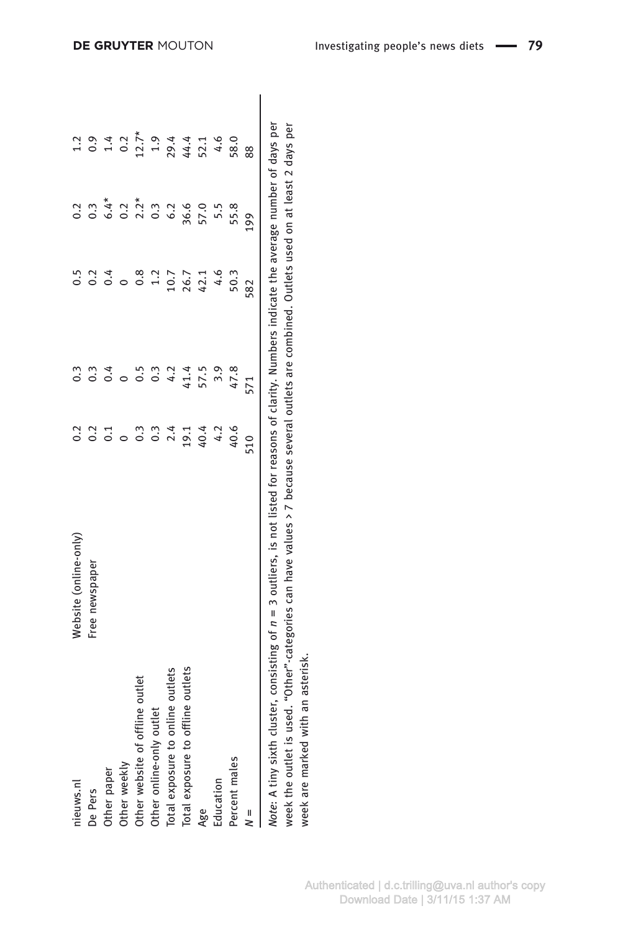| nieuws.nl                         | Website (online-only)                                                                                                                             | $\overline{0}$ |               |               | $\sim$           |         |  |
|-----------------------------------|---------------------------------------------------------------------------------------------------------------------------------------------------|----------------|---------------|---------------|------------------|---------|--|
| De Pers                           | Free newspaper                                                                                                                                    | 0.2            | ە:<br>0       | $\sim$        | $0.\overline{3}$ |         |  |
| Other paper                       |                                                                                                                                                   | 0.1            | 0.4           | 0.4           | $6.4*$           | 1.4     |  |
| Other weekly                      |                                                                                                                                                   | $\circ$        |               |               | 0.2              | 0.2     |  |
| Other website of offline outlet   |                                                                                                                                                   | $\ddot{\circ}$ | ة.<br>0       | $\frac{8}{3}$ | $2.2*$           | $12.7*$ |  |
| Other online-only outlet          |                                                                                                                                                   | 0.3            | $\frac{3}{2}$ | $\frac{2}{1}$ | 0.3              | 1.9     |  |
| Total exposure to online outlets  |                                                                                                                                                   | 2.4            | 4.2           | 10.7          | 6.2              | 29.4    |  |
| Total exposure to offline outlets |                                                                                                                                                   | 19.1           | 41.4          | 26.7          | 36.6             | 44.4    |  |
| Age                               |                                                                                                                                                   | 40.4           | 57.5          | 42.1          | 57.0             | 52.1    |  |
| Education                         |                                                                                                                                                   | 4.2            | 3.9           | 4.6           | 5.5              | 4.6     |  |
| Percent males                     |                                                                                                                                                   | 40.6           | 47.8          | 50.3          | 55.8             | 58.0    |  |
| $\bar{z}$                         |                                                                                                                                                   | 510            | 571           | 582           | 199              | 88      |  |
|                                   | Note: A tiny sixth cluster, consisting of $n = 3$ outliers, is not listed for reasons of clarity. Numbers indicate the average number of days per |                |               |               |                  |         |  |

week the outlet is used. "Other"-categories can have values > 7 because several outlets are combined. Outlets used on at least 2 days per week the outlet is used. "Other"-categories can have values > 7 because several outlets are combined. Outlets used on at least 2 days per week are marked with an asterisk. week are marked with an asterisk.

Authenticated | d.c.trilling@uva.nl author's copy Download Date | 3/11/15 1:37 AM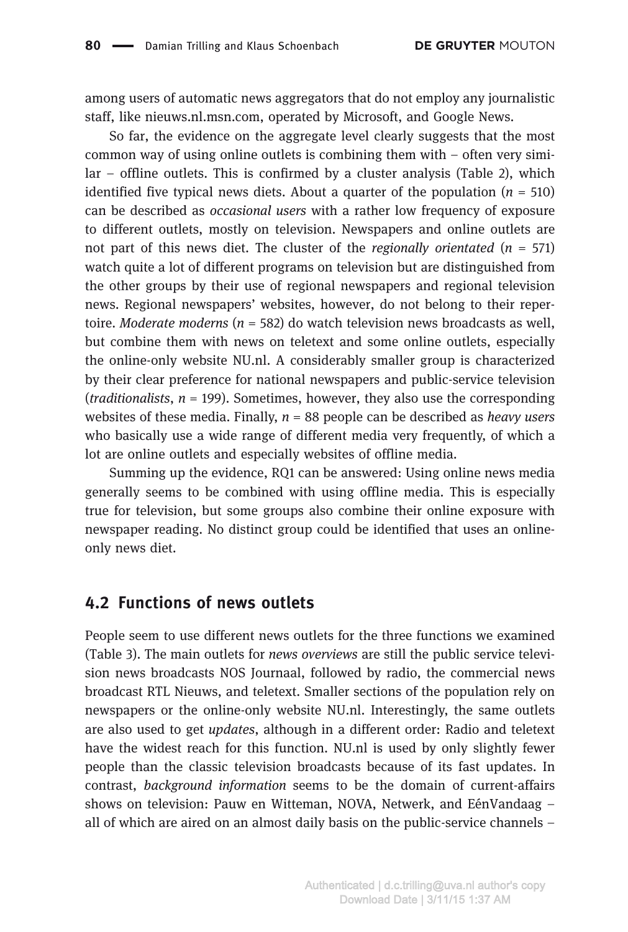among users of automatic news aggregators that do not employ any journalistic staff, like nieuws.nl.msn.com, operated by Microsoft, and Google News.

So far, the evidence on the aggregate level clearly suggests that the most common way of using online outlets is combining them with – often very similar – offline outlets. This is confirmed by a cluster analysis (Table 2), which identified five typical news diets. About a quarter of the population  $(n = 510)$ can be described as *occasional users* with a rather low frequency of exposure to different outlets, mostly on television. Newspapers and online outlets are not part of this news diet. The cluster of the *regionally orientated* ( $n = 571$ ) watch quite a lot of different programs on television but are distinguished from the other groups by their use of regional newspapers and regional television news. Regional newspapers' websites, however, do not belong to their repertoire. *Moderate moderns* (*n* = 582) do watch television news broadcasts as well, but combine them with news on teletext and some online outlets, especially the online-only website NU.nl. A considerably smaller group is characterized by their clear preference for national newspapers and public-service television (*traditionalists*, *n* = 199). Sometimes, however, they also use the corresponding websites of these media. Finally, *n* = 88 people can be described as *heavy users* who basically use a wide range of different media very frequently, of which a lot are online outlets and especially websites of offline media.

Summing up the evidence, RQ1 can be answered: Using online news media generally seems to be combined with using offline media. This is especially true for television, but some groups also combine their online exposure with newspaper reading. No distinct group could be identified that uses an onlineonly news diet.

#### **4.2 Functions of news outlets**

People seem to use different news outlets for the three functions we examined (Table 3). The main outlets for *news overviews* are still the public service television news broadcasts NOS Journaal, followed by radio, the commercial news broadcast RTL Nieuws, and teletext. Smaller sections of the population rely on newspapers or the online-only website NU.nl. Interestingly, the same outlets are also used to get *updates*, although in a different order: Radio and teletext have the widest reach for this function. NU.nl is used by only slightly fewer people than the classic television broadcasts because of its fast updates. In contrast, *background information* seems to be the domain of current-affairs shows on television: Pauw en Witteman, NOVA, Netwerk, and EénVandaag – all of which are aired on an almost daily basis on the public-service channels –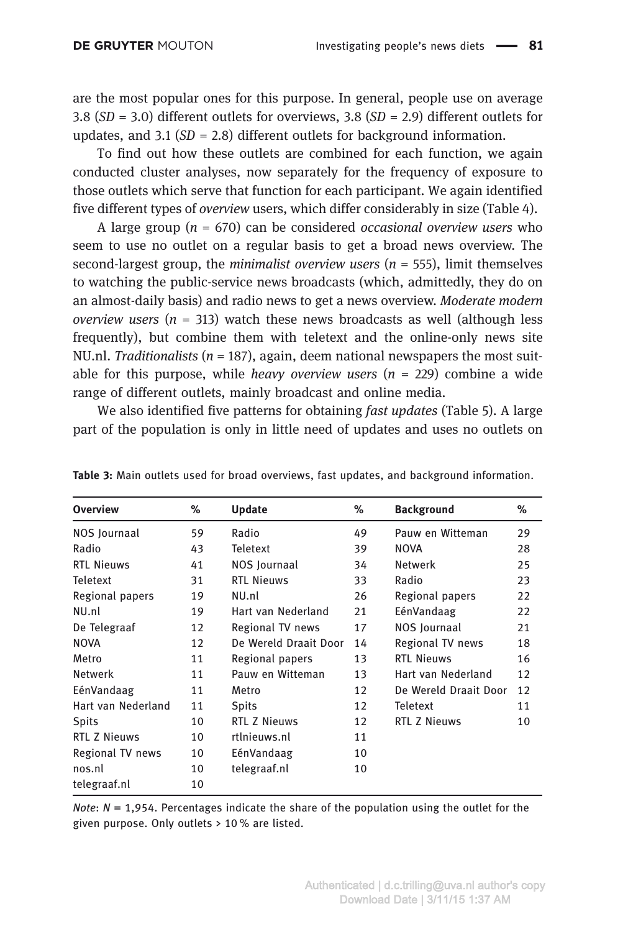are the most popular ones for this purpose. In general, people use on average 3.8 (*SD* = 3.0) different outlets for overviews, 3.8 (*SD* = 2.9) different outlets for updates, and 3.1  $(SD = 2.8)$  different outlets for background information.

To find out how these outlets are combined for each function, we again conducted cluster analyses, now separately for the frequency of exposure to those outlets which serve that function for each participant. We again identified five different types of *overview* users, which differ considerably in size (Table 4).

A large group (*n* = 670) can be considered *occasional overview users* who seem to use no outlet on a regular basis to get a broad news overview. The second-largest group, the *minimalist overview users*  $(n = 555)$ , limit themselves to watching the public-service news broadcasts (which, admittedly, they do on an almost-daily basis) and radio news to get a news overview. *Moderate modern overview users* ( $n = 313$ ) watch these news broadcasts as well (although less frequently), but combine them with teletext and the online-only news site NU.nl. *Traditionalists* (*n* = 187), again, deem national newspapers the most suitable for this purpose, while *heavy overview users* (*n* = 229) combine a wide range of different outlets, mainly broadcast and online media.

We also identified five patterns for obtaining *fast updates* (Table 5). A large part of the population is only in little need of updates and uses no outlets on

| <b>Overview</b>     | %  | <b>Update</b>         | %  | <b>Background</b>     | %  |
|---------------------|----|-----------------------|----|-----------------------|----|
| NOS Journaal        | 59 | Radio                 | 49 | Pauw en Witteman      | 29 |
| Radio               | 43 | Teletext              | 39 | <b>NOVA</b>           | 28 |
| <b>RTL Nieuws</b>   | 41 | NOS Journaal          | 34 | <b>Netwerk</b>        | 25 |
| Teletext            | 31 | <b>RTL Nieuws</b>     | 33 | Radio                 | 23 |
| Regional papers     | 19 | NU.nl                 | 26 | Regional papers       | 22 |
| NU.nl               | 19 | Hart van Nederland    | 21 | EénVandaag            | 22 |
| De Telegraaf        | 12 | Regional TV news      | 17 | NOS Journaal          | 21 |
| <b>NOVA</b>         | 12 | De Wereld Draait Door | 14 | Regional TV news      | 18 |
| Metro               | 11 | Regional papers       | 13 | <b>RTL Nieuws</b>     | 16 |
| <b>Netwerk</b>      | 11 | Pauw en Witteman      | 13 | Hart van Nederland    | 12 |
| EénVandaag          | 11 | Metro                 | 12 | De Wereld Draait Door | 12 |
| Hart van Nederland  | 11 | <b>Spits</b>          | 12 | Teletext              | 11 |
| <b>Spits</b>        | 10 | <b>RTL Z Nieuws</b>   | 12 | <b>RTL Z Nieuws</b>   | 10 |
| <b>RTL Z Nieuws</b> | 10 | rtlnieuws.nl          | 11 |                       |    |
| Regional TV news    | 10 | EénVandaag            | 10 |                       |    |
| nos.nl              | 10 | telegraaf.nl          | 10 |                       |    |
| telegraaf.nl        | 10 |                       |    |                       |    |

**Table 3:** Main outlets used for broad overviews, fast updates, and background information.

*Note*: *N* = 1,954. Percentages indicate the share of the population using the outlet for the given purpose. Only outlets > 10 % are listed.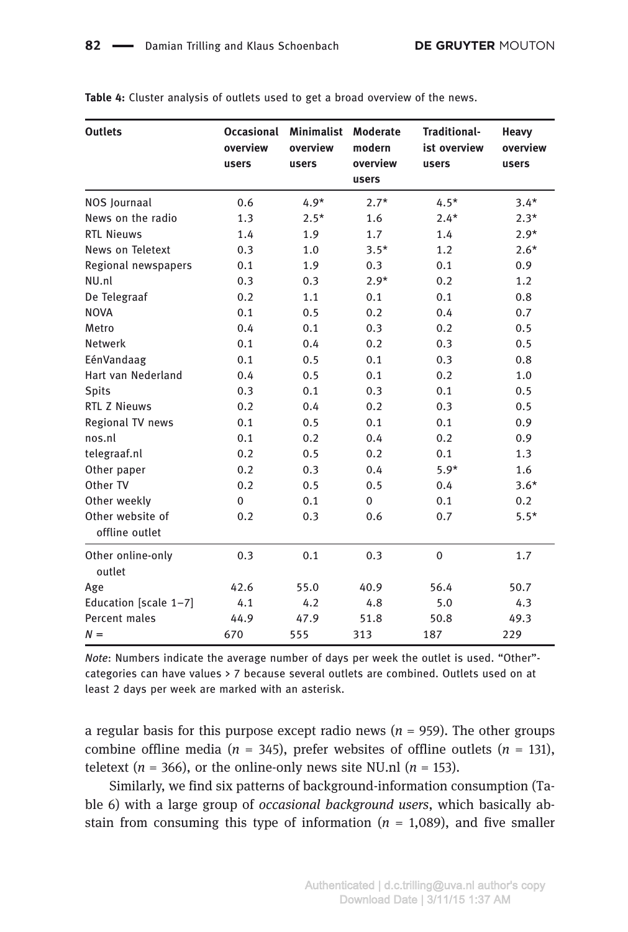| <b>Outlets</b>                     | Occasional<br>overview<br>users | <b>Minimalist Moderate</b><br>overview<br>users | modern<br>overview<br>users | <b>Traditional-</b><br>ist overview<br>users | Heavy<br>overview<br>users |
|------------------------------------|---------------------------------|-------------------------------------------------|-----------------------------|----------------------------------------------|----------------------------|
| <b>NOS Journaal</b>                | 0.6                             | $4.9*$                                          | $2.7*$                      | $4.5*$                                       | $3.4*$                     |
| News on the radio                  | 1.3                             | $2.5*$                                          | 1.6                         | $2.4*$                                       | $2.3*$                     |
| <b>RTL Nieuws</b>                  | 1.4                             | 1.9                                             | 1.7                         | 1.4                                          | $2.9*$                     |
| News on Teletext                   | 0.3                             | 1.0                                             | $3.5*$                      | 1.2                                          | $2.6*$                     |
| Regional newspapers                | 0.1                             | 1.9                                             | 0.3                         | 0.1                                          | 0.9                        |
| NU.nl                              | 0.3                             | 0.3                                             | $2.9*$                      | 0.2                                          | 1.2                        |
| De Telegraaf                       | 0.2                             | 1.1                                             | 0.1                         | 0.1                                          | 0.8                        |
| <b>NOVA</b>                        | 0.1                             | 0.5                                             | 0.2                         | 0.4                                          | 0.7                        |
| Metro                              | 0.4                             | 0.1                                             | 0.3                         | 0.2                                          | 0.5                        |
| <b>Netwerk</b>                     | 0.1                             | 0.4                                             | 0.2                         | 0.3                                          | 0.5                        |
| EénVandaag                         | 0.1                             | 0.5                                             | 0.1                         | 0.3                                          | 0.8                        |
| Hart van Nederland                 | 0.4                             | 0.5                                             | 0.1                         | 0.2                                          | 1.0                        |
| <b>Spits</b>                       | 0.3                             | 0.1                                             | 0.3                         | 0.1                                          | 0.5                        |
| <b>RTL Z Nieuws</b>                | 0.2                             | 0.4                                             | 0.2                         | 0.3                                          | 0.5                        |
| Regional TV news                   | 0.1                             | 0.5                                             | 0.1                         | 0.1                                          | 0.9                        |
| nos.nl                             | 0.1                             | 0.2                                             | 0.4                         | 0.2                                          | 0.9                        |
| telegraaf.nl                       | 0.2                             | 0.5                                             | 0.2                         | 0.1                                          | 1.3                        |
| Other paper                        | 0.2                             | 0.3                                             | 0.4                         | $5.9*$                                       | 1.6                        |
| Other TV                           | 0.2                             | 0.5                                             | 0.5                         | 0.4                                          | $3.6*$                     |
| Other weekly                       | $\mathbf 0$                     | 0.1                                             | $\mathbf 0$                 | 0.1                                          | 0.2                        |
| Other website of<br>offline outlet | 0.2                             | 0.3                                             | 0.6                         | 0.7                                          | $5.5*$                     |
| Other online-only<br>outlet        | 0.3                             | 0.1                                             | 0.3                         | $\mathbf 0$                                  | 1.7                        |
| Age                                | 42.6                            | 55.0                                            | 40.9                        | 56.4                                         | 50.7                       |
| Education [scale 1-7]              | 4.1                             | 4.2                                             | 4.8                         | 5.0                                          | 4.3                        |
| Percent males                      | 44.9                            | 47.9                                            | 51.8                        | 50.8                                         | 49.3                       |
| $N =$                              | 670                             | 555                                             | 313                         | 187                                          | 229                        |

**Table 4:** Cluster analysis of outlets used to get a broad overview of the news.

*Note*: Numbers indicate the average number of days per week the outlet is used. "Other" categories can have values > 7 because several outlets are combined. Outlets used on at least 2 days per week are marked with an asterisk.

a regular basis for this purpose except radio news  $(n = 959)$ . The other groups combine offline media ( $n = 345$ ), prefer websites of offline outlets ( $n = 131$ ), teletext ( $n = 366$ ), or the online-only news site NU.nl ( $n = 153$ ).

Similarly, we find six patterns of background-information consumption (Table 6) with a large group of *occasional background users*, which basically abstain from consuming this type of information  $(n = 1,089)$ , and five smaller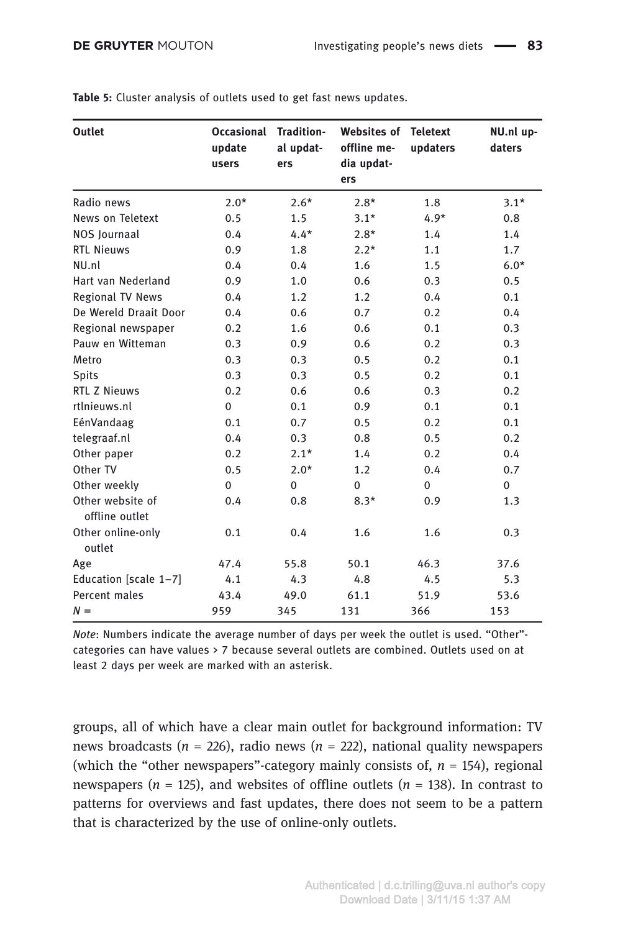| <b>Outlet</b>                      | <b>Occasional</b><br>update<br>users | Tradition-<br>al updat-<br>ers | <b>Websites of</b><br>offline me-<br>dia updat-<br>ers | <b>Teletext</b><br>updaters | NU.nl up-<br>daters |
|------------------------------------|--------------------------------------|--------------------------------|--------------------------------------------------------|-----------------------------|---------------------|
| Radio news                         | $2.0*$                               | $2.6*$                         | $2.8*$                                                 | 1.8                         | $3.1*$              |
| News on Teletext                   | 0.5                                  | 1.5                            | $3.1*$                                                 | $4.9*$                      | 0.8                 |
| <b>NOS lournaal</b>                | 0.4                                  | $4.4*$                         | $2.8*$                                                 | 1.4                         | 1.4                 |
| <b>RTL Nieuws</b>                  | 0.9                                  | 1.8                            | $2.2*$                                                 | 1.1                         | 1.7                 |
| NU.nl                              | 0.4                                  | 0.4                            | 1.6                                                    | 1.5                         | $6.0*$              |
| Hart van Nederland                 | 0.9                                  | 1.0                            | 0.6                                                    | 0.3                         | 0.5                 |
| <b>Regional TV News</b>            | 0.4                                  | 1.2                            | 1.2                                                    | 0.4                         | 0.1                 |
| De Wereld Draait Door              | 0.4                                  | 0.6                            | 0.7                                                    | 0.2                         | 0.4                 |
| Regional newspaper                 | 0.2                                  | 1.6                            | 0.6                                                    | 0.1                         | 0.3                 |
| Pauw en Witteman                   | 0.3                                  | 0.9                            | 0.6                                                    | 0.2                         | 0.3                 |
| Metro                              | 0.3                                  | 0.3                            | 0.5                                                    | 0.2                         | 0.1                 |
| <b>Spits</b>                       | 0.3                                  | 0.3                            | 0.5                                                    | 0.2                         | 0.1                 |
| <b>RTL Z Nieuws</b>                | 0.2                                  | 0.6                            | 0.6                                                    | 0.3                         | 0.2                 |
| rtlnieuws.nl                       | $\mathbf 0$                          | 0.1                            | 0.9                                                    | 0.1                         | 0.1                 |
| EénVandaag                         | 0.1                                  | 0.7                            | 0.5                                                    | 0.2                         | 0.1                 |
| telegraaf.nl                       | 0.4                                  | 0.3                            | 0.8                                                    | 0.5                         | 0.2                 |
| Other paper                        | 0.2                                  | $2.1*$                         | 1.4                                                    | 0.2                         | 0.4                 |
| Other TV                           | 0.5                                  | $2.0*$                         | 1.2                                                    | 0.4                         | 0.7                 |
| Other weekly                       | $\Omega$                             | $\mathbf{0}$                   | $\mathbf{0}$                                           | $\Omega$                    | $\mathbf 0$         |
| Other website of<br>offline outlet | 0.4                                  | 0.8                            | $8.3*$                                                 | 0.9                         | 1.3                 |
| Other online-only<br>outlet        | 0.1                                  | 0.4                            | 1.6                                                    | 1.6                         | 0.3                 |
| Age                                | 47.4                                 | 55.8                           | 50.1                                                   | 46.3                        | 37.6                |
| Education [scale $1-7$ ]           | 4.1                                  | 4.3                            | 4.8                                                    | 4.5                         | 5.3                 |
| Percent males                      | 43.4                                 | 49.0                           | 61.1                                                   | 51.9                        | 53.6                |
| $N =$                              | 959                                  | 345                            | 131                                                    | 366                         | 153                 |

**Table 5:** Cluster analysis of outlets used to get fast news updates.

*Note*: Numbers indicate the average number of days per week the outlet is used. "Other" categories can have values > 7 because several outlets are combined. Outlets used on at least 2 days per week are marked with an asterisk.

groups, all of which have a clear main outlet for background information: TV news broadcasts ( $n = 226$ ), radio news ( $n = 222$ ), national quality newspapers (which the "other newspapers"-category mainly consists of,  $n = 154$ ), regional newspapers ( $n = 125$ ), and websites of offline outlets ( $n = 138$ ). In contrast to patterns for overviews and fast updates, there does not seem to be a pattern that is characterized by the use of online-only outlets.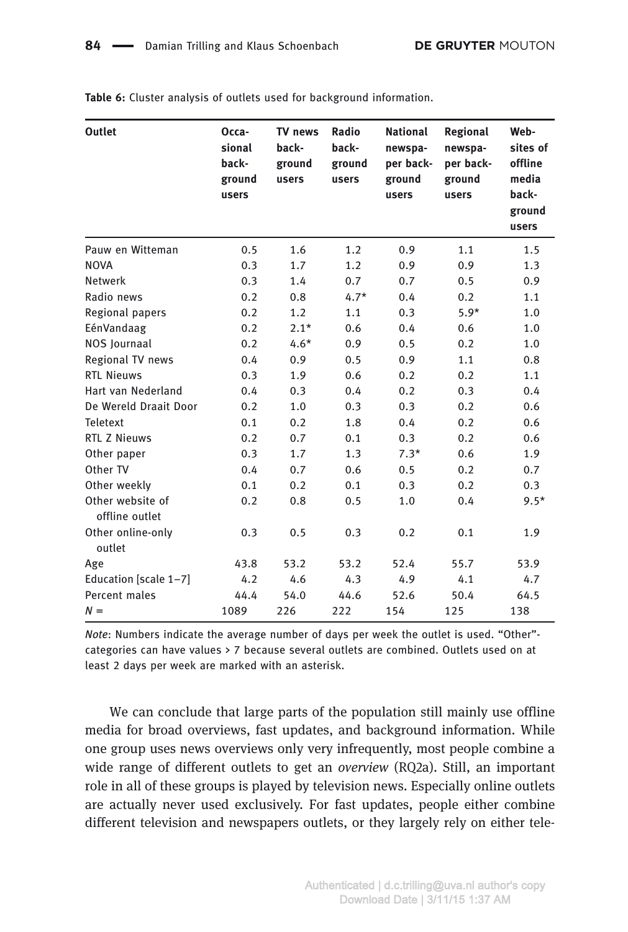| Outlet                             | Occa-<br>sional<br>back-<br>ground<br>users | TV news<br>back-<br>ground<br>users | Radio<br>back-<br>ground<br>users | <b>National</b><br>newspa-<br>per back-<br>ground<br>users | Regional<br>newspa-<br>per back-<br>ground<br>users | Web-<br>sites of<br>offline<br>media<br>back-<br>ground<br>users |
|------------------------------------|---------------------------------------------|-------------------------------------|-----------------------------------|------------------------------------------------------------|-----------------------------------------------------|------------------------------------------------------------------|
| Pauw en Witteman                   | 0.5                                         | 1.6                                 | 1.2                               | 0.9                                                        | 1.1                                                 | 1.5                                                              |
| <b>NOVA</b>                        | 0.3                                         | 1.7                                 | 1.2                               | 0.9                                                        | 0.9                                                 | 1.3                                                              |
| Netwerk                            | 0.3                                         | 1.4                                 | 0.7                               | 0.7                                                        | 0.5                                                 | 0.9                                                              |
| Radio news                         | 0.2                                         | 0.8                                 | $4.7*$                            | 0.4                                                        | 0.2                                                 | 1.1                                                              |
| Regional papers                    | 0.2                                         | 1.2                                 | 1.1                               | 0.3                                                        | $5.9*$                                              | 1.0                                                              |
| EénVandaag                         | 0.2                                         | $2.1*$                              | 0.6                               | 0.4                                                        | 0.6                                                 | 1.0                                                              |
| <b>NOS lournaal</b>                | 0.2                                         | $4.6*$                              | 0.9                               | 0.5                                                        | 0.2                                                 | 1.0                                                              |
| Regional TV news                   | 0.4                                         | 0.9                                 | 0.5                               | 0.9                                                        | 1.1                                                 | 0.8                                                              |
| <b>RTL Nieuws</b>                  | 0.3                                         | 1.9                                 | 0.6                               | 0.2                                                        | 0.2                                                 | 1.1                                                              |
| Hart van Nederland                 | 0.4                                         | 0.3                                 | 0.4                               | 0.2                                                        | 0.3                                                 | 0.4                                                              |
| De Wereld Draait Door              | 0.2                                         | $1.0\,$                             | 0.3                               | 0.3                                                        | 0.2                                                 | 0.6                                                              |
| Teletext                           | 0.1                                         | 0.2                                 | 1.8                               | 0.4                                                        | 0.2                                                 | 0.6                                                              |
| <b>RTL Z Nieuws</b>                | 0.2                                         | 0.7                                 | 0.1                               | 0.3                                                        | 0.2                                                 | 0.6                                                              |
| Other paper                        | 0.3                                         | 1.7                                 | 1.3                               | $7.3*$                                                     | 0.6                                                 | 1.9                                                              |
| Other TV                           | 0.4                                         | 0.7                                 | 0.6                               | 0.5                                                        | 0.2                                                 | 0.7                                                              |
| Other weekly                       | 0.1                                         | 0.2                                 | 0.1                               | 0.3                                                        | 0.2                                                 | 0.3                                                              |
| Other website of<br>offline outlet | 0.2                                         | 0.8                                 | 0.5                               | 1.0                                                        | 0.4                                                 | $9.5*$                                                           |
| Other online-only<br>outlet        | 0.3                                         | 0.5                                 | 0.3                               | 0.2                                                        | 0.1                                                 | 1.9                                                              |
| Age                                | 43.8                                        | 53.2                                | 53.2                              | 52.4                                                       | 55.7                                                | 53.9                                                             |
| Education [scale 1-7]              | 4.2                                         | 4.6                                 | 4.3                               | 4.9                                                        | 4.1                                                 | 4.7                                                              |
| Percent males                      | 44.4                                        | 54.0                                | 44.6                              | 52.6                                                       | 50.4                                                | 64.5                                                             |
| $N =$                              | 1089                                        | 226                                 | 222                               | 154                                                        | 125                                                 | 138                                                              |

**Table 6:** Cluster analysis of outlets used for background information.

*Note*: Numbers indicate the average number of days per week the outlet is used. "Other" categories can have values > 7 because several outlets are combined. Outlets used on at least 2 days per week are marked with an asterisk.

We can conclude that large parts of the population still mainly use offline media for broad overviews, fast updates, and background information. While one group uses news overviews only very infrequently, most people combine a wide range of different outlets to get an *overview* (RQ2a). Still, an important role in all of these groups is played by television news. Especially online outlets are actually never used exclusively. For fast updates, people either combine different television and newspapers outlets, or they largely rely on either tele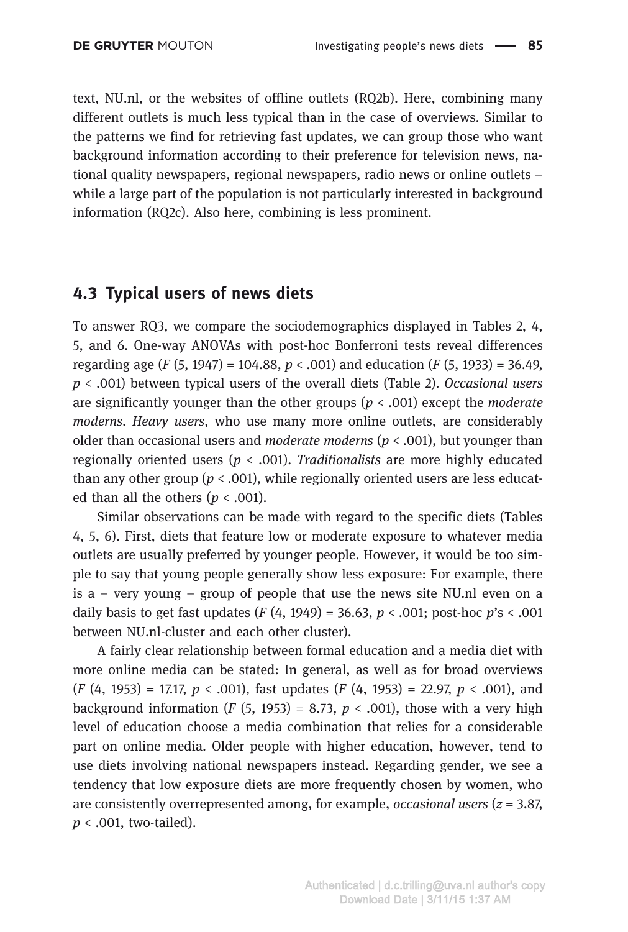text, NU.nl, or the websites of offline outlets (RQ2b). Here, combining many different outlets is much less typical than in the case of overviews. Similar to the patterns we find for retrieving fast updates, we can group those who want background information according to their preference for television news, national quality newspapers, regional newspapers, radio news or online outlets – while a large part of the population is not particularly interested in background information (RQ2c). Also here, combining is less prominent.

### **4.3 Typical users of news diets**

To answer RQ3, we compare the sociodemographics displayed in Tables 2, 4, 5, and 6. One-way ANOVAs with post-hoc Bonferroni tests reveal differences regarding age (*F* (5, 1947) = 104.88, *p* < .001) and education (*F* (5, 1933) = 36.49, *p* < .001) between typical users of the overall diets (Table 2). *Occasional users* are significantly younger than the other groups (*p* < .001) except the *moderate moderns*. *Heavy users*, who use many more online outlets, are considerably older than occasional users and *moderate moderns* (*p* < .001), but younger than regionally oriented users (*p* < .001). *Traditionalists* are more highly educated than any other group ( $p < .001$ ), while regionally oriented users are less educated than all the others  $(p < .001)$ .

Similar observations can be made with regard to the specific diets (Tables 4, 5, 6). First, diets that feature low or moderate exposure to whatever media outlets are usually preferred by younger people. However, it would be too simple to say that young people generally show less exposure: For example, there is a – very young – group of people that use the news site NU.nl even on a daily basis to get fast updates  $(F(4, 1949) = 36.63, p < .001$ ; post-hoc  $p's < .001$ between NU.nl-cluster and each other cluster).

A fairly clear relationship between formal education and a media diet with more online media can be stated: In general, as well as for broad overviews (*F* (4, 1953) = 17.17, *p* < .001), fast updates (*F* (4, 1953) = 22.97, *p* < .001), and background information  $(F (5, 1953) = 8.73, p < .001)$ , those with a very high level of education choose a media combination that relies for a considerable part on online media. Older people with higher education, however, tend to use diets involving national newspapers instead. Regarding gender, we see a tendency that low exposure diets are more frequently chosen by women, who are consistently overrepresented among, for example, *occasional users* (*z* = 3.87, *p* < .001, two-tailed).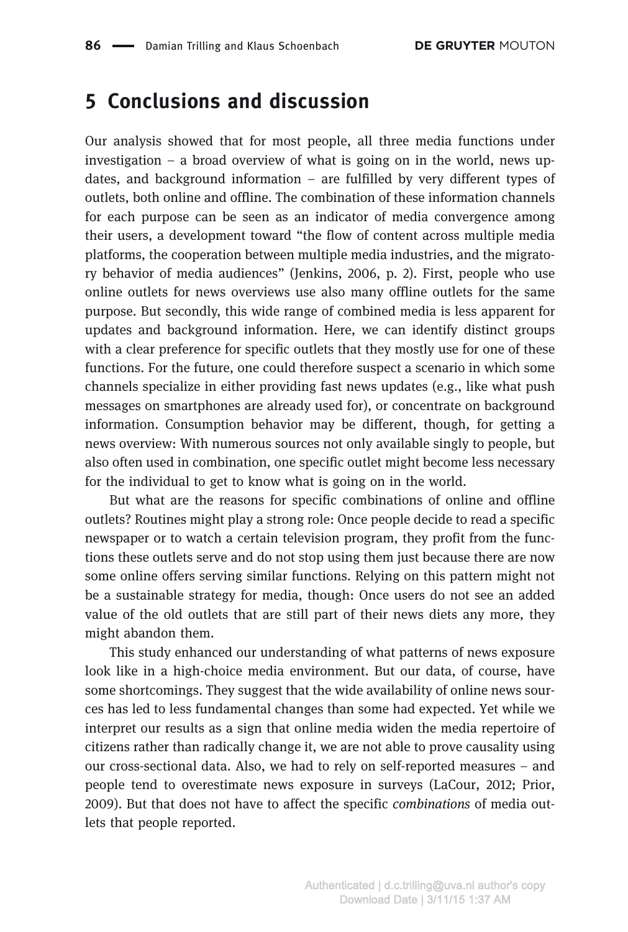### **5 Conclusions and discussion**

Our analysis showed that for most people, all three media functions under investigation – a broad overview of what is going on in the world, news updates, and background information – are fulfilled by very different types of outlets, both online and offline. The combination of these information channels for each purpose can be seen as an indicator of media convergence among their users, a development toward "the flow of content across multiple media platforms, the cooperation between multiple media industries, and the migratory behavior of media audiences" (Jenkins, 2006, p. 2). First, people who use online outlets for news overviews use also many offline outlets for the same purpose. But secondly, this wide range of combined media is less apparent for updates and background information. Here, we can identify distinct groups with a clear preference for specific outlets that they mostly use for one of these functions. For the future, one could therefore suspect a scenario in which some channels specialize in either providing fast news updates (e.g., like what push messages on smartphones are already used for), or concentrate on background information. Consumption behavior may be different, though, for getting a news overview: With numerous sources not only available singly to people, but also often used in combination, one specific outlet might become less necessary for the individual to get to know what is going on in the world.

But what are the reasons for specific combinations of online and offline outlets? Routines might play a strong role: Once people decide to read a specific newspaper or to watch a certain television program, they profit from the functions these outlets serve and do not stop using them just because there are now some online offers serving similar functions. Relying on this pattern might not be a sustainable strategy for media, though: Once users do not see an added value of the old outlets that are still part of their news diets any more, they might abandon them.

This study enhanced our understanding of what patterns of news exposure look like in a high-choice media environment. But our data, of course, have some shortcomings. They suggest that the wide availability of online news sources has led to less fundamental changes than some had expected. Yet while we interpret our results as a sign that online media widen the media repertoire of citizens rather than radically change it, we are not able to prove causality using our cross-sectional data. Also, we had to rely on self-reported measures – and people tend to overestimate news exposure in surveys (LaCour, 2012; Prior, 2009). But that does not have to affect the specific *combinations* of media outlets that people reported.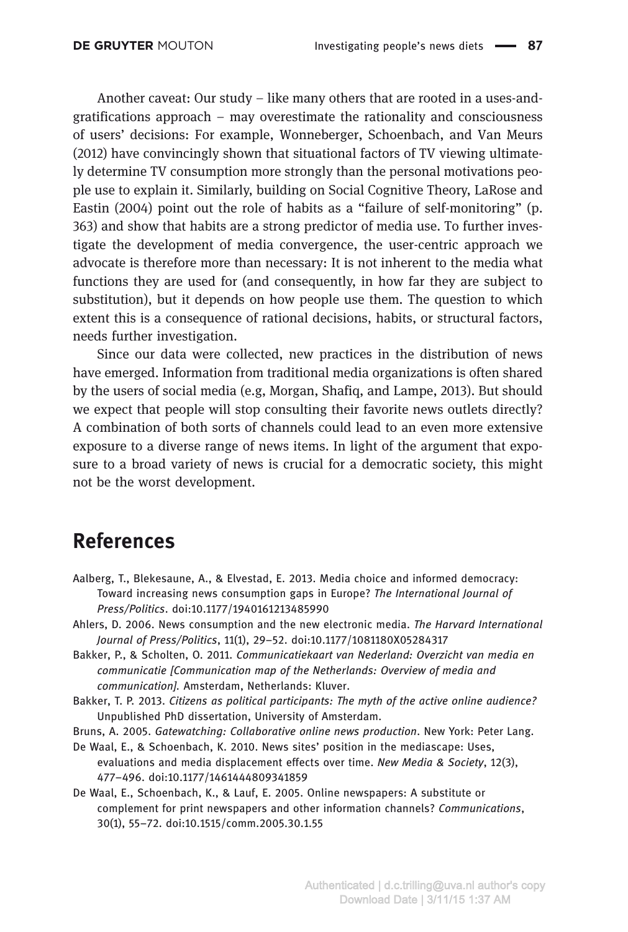Another caveat: Our study – like many others that are rooted in a uses-andgratifications approach – may overestimate the rationality and consciousness of users' decisions: For example, Wonneberger, Schoenbach, and Van Meurs (2012) have convincingly shown that situational factors of TV viewing ultimately determine TV consumption more strongly than the personal motivations people use to explain it. Similarly, building on Social Cognitive Theory, LaRose and Eastin (2004) point out the role of habits as a "failure of self-monitoring" (p. 363) and show that habits are a strong predictor of media use. To further investigate the development of media convergence, the user-centric approach we advocate is therefore more than necessary: It is not inherent to the media what functions they are used for (and consequently, in how far they are subject to substitution), but it depends on how people use them. The question to which extent this is a consequence of rational decisions, habits, or structural factors, needs further investigation.

Since our data were collected, new practices in the distribution of news have emerged. Information from traditional media organizations is often shared by the users of social media (e.g, Morgan, Shafiq, and Lampe, 2013). But should we expect that people will stop consulting their favorite news outlets directly? A combination of both sorts of channels could lead to an even more extensive exposure to a diverse range of news items. In light of the argument that exposure to a broad variety of news is crucial for a democratic society, this might not be the worst development.

## **References**

- Aalberg, T., Blekesaune, A., & Elvestad, E. 2013. Media choice and informed democracy: Toward increasing news consumption gaps in Europe? *The International Journal of Press/Politics*. doi:10.1177/1940161213485990
- Ahlers, D. 2006. News consumption and the new electronic media. *The Harvard International Journal of Press/Politics*, 11(1), 29–52. doi:10.1177/1081180X05284317
- Bakker, P., & Scholten, O. 2011. *Communicatiekaart van Nederland: Overzicht van media en communicatie [Communication map of the Netherlands: Overview of media and communication].* Amsterdam, Netherlands: Kluver.
- Bakker, T. P. 2013. *Citizens as political participants: The myth of the active online audience?* Unpublished PhD dissertation, University of Amsterdam.
- Bruns, A. 2005. *Gatewatching: Collaborative online news production*. New York: Peter Lang.
- De Waal, E., & Schoenbach, K. 2010. News sites' position in the mediascape: Uses, evaluations and media displacement effects over time. *New Media & Society*, 12(3), 477–496. doi:10.1177/1461444809341859
- De Waal, E., Schoenbach, K., & Lauf, E. 2005. Online newspapers: A substitute or complement for print newspapers and other information channels? *Communications*, 30(1), 55–72. doi:10.1515/comm.2005.30.1.55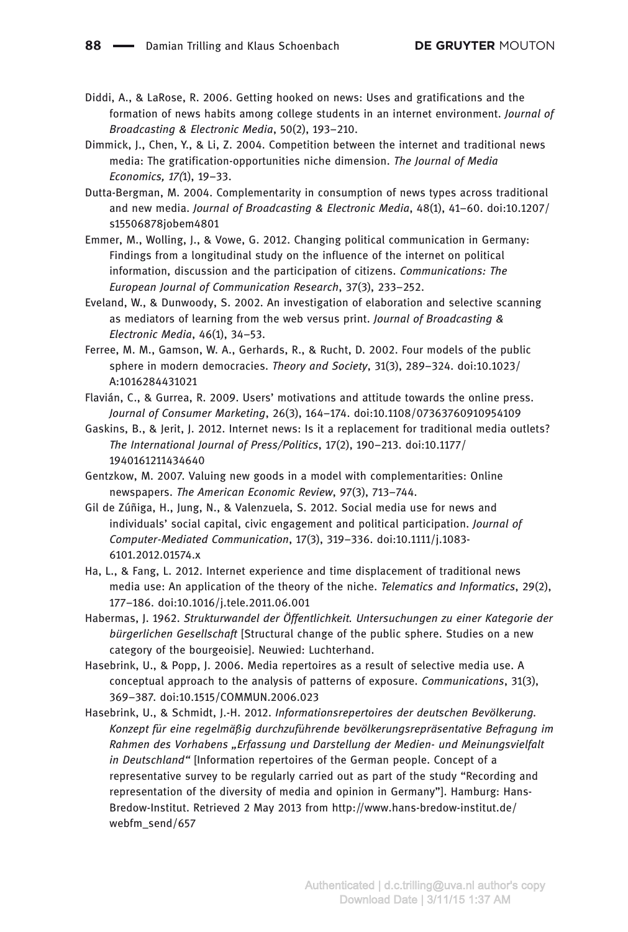- Diddi, A., & LaRose, R. 2006. Getting hooked on news: Uses and gratifications and the formation of news habits among college students in an internet environment. *Journal of Broadcasting & Electronic Media*, 50(2), 193–210.
- Dimmick, J., Chen, Y., & Li, Z. 2004. Competition between the internet and traditional news media: The gratification-opportunities niche dimension. *The Journal of Media Economics, 17(*1), 19–33.
- Dutta-Bergman, M. 2004. Complementarity in consumption of news types across traditional and new media. *Journal of Broadcasting & Electronic Media*, 48(1), 41–60. doi:10.1207/ s15506878jobem4801
- Emmer, M., Wolling, J., & Vowe, G. 2012. Changing political communication in Germany: Findings from a longitudinal study on the influence of the internet on political information, discussion and the participation of citizens. *Communications: The European Journal of Communication Research*, 37(3), 233–252.
- Eveland, W., & Dunwoody, S. 2002. An investigation of elaboration and selective scanning as mediators of learning from the web versus print. *Journal of Broadcasting & Electronic Media*, 46(1), 34–53.
- Ferree, M. M., Gamson, W. A., Gerhards, R., & Rucht, D. 2002. Four models of the public sphere in modern democracies. *Theory and Society*, 31(3), 289–324. doi:10.1023/ A:1016284431021
- Flavián, C., & Gurrea, R. 2009. Users' motivations and attitude towards the online press. *Journal of Consumer Marketing*, 26(3), 164–174. doi:10.1108/07363760910954109
- Gaskins, B., & Jerit, J. 2012. Internet news: Is it a replacement for traditional media outlets? *The International Journal of Press/Politics*, 17(2), 190–213. doi:10.1177/ 1940161211434640
- Gentzkow, M. 2007. Valuing new goods in a model with complementarities: Online newspapers. *The American Economic Review*, 97(3), 713–744.
- Gil de Zúñiga, H., Jung, N., & Valenzuela, S. 2012. Social media use for news and individuals' social capital, civic engagement and political participation. *Journal of Computer-Mediated Communication*, 17(3), 319–336. doi:10.1111/j.1083- 6101.2012.01574.x
- Ha, L., & Fang, L. 2012. Internet experience and time displacement of traditional news media use: An application of the theory of the niche. *Telematics and Informatics*, 29(2), 177–186. doi:10.1016/j.tele.2011.06.001
- Habermas, J. 1962. *Strukturwandel der Öffentlichkeit. Untersuchungen zu einer Kategorie der bürgerlichen Gesellschaft* [Structural change of the public sphere. Studies on a new category of the bourgeoisie]. Neuwied: Luchterhand.
- Hasebrink, U., & Popp, J. 2006. Media repertoires as a result of selective media use. A conceptual approach to the analysis of patterns of exposure. *Communications*, 31(3), 369–387. doi:10.1515/COMMUN.2006.023
- Hasebrink, U., & Schmidt, J.-H. 2012. *Informationsrepertoires der deutschen Bevölkerung. Konzept für eine regelmäßig durchzuführende bevölkerungsrepräsentative Befragung im Rahmen des Vorhabens "Erfassung und Darstellung der Medien- und Meinungsvielfalt in Deutschland"* [Information repertoires of the German people. Concept of a representative survey to be regularly carried out as part of the study "Recording and representation of the diversity of media and opinion in Germany"]. Hamburg: Hans-Bredow-Institut. Retrieved 2 May 2013 from [http://www.hans-bredow-institut.de/](http://www.hans-bredow-institut.de/webfm_send/657) [webfm\\_send/657](http://www.hans-bredow-institut.de/webfm_send/657)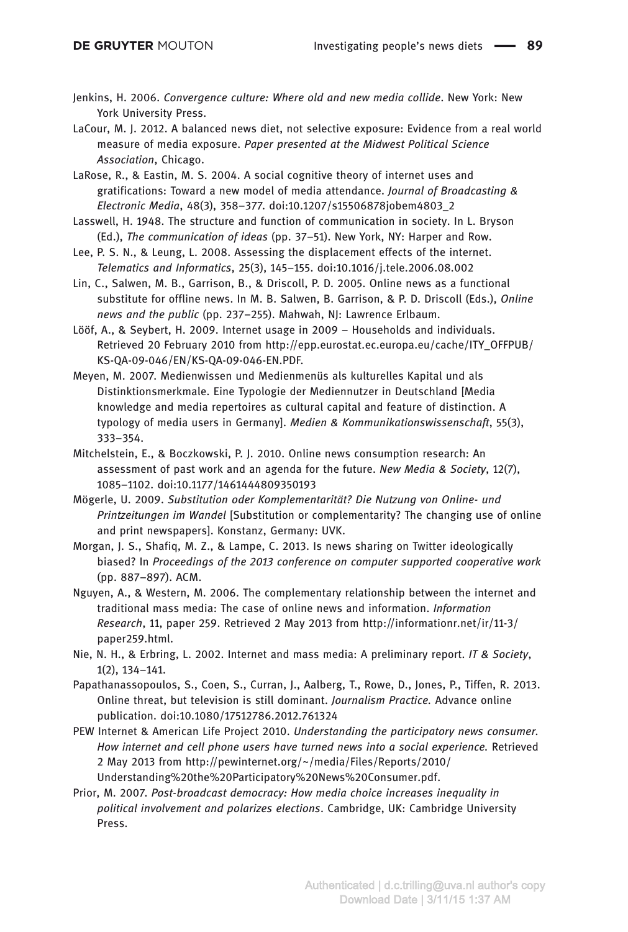- Jenkins, H. 2006. *Convergence culture: Where old and new media collide*. New York: New York University Press.
- LaCour, M. J. 2012. A balanced news diet, not selective exposure: Evidence from a real world measure of media exposure. *Paper presented at the Midwest Political Science Association*, Chicago.
- LaRose, R., & Eastin, M. S. 2004. A social cognitive theory of internet uses and gratifications: Toward a new model of media attendance. *Journal of Broadcasting & Electronic Media*, 48(3), 358–377. doi:10.1207/s15506878jobem4803\_2
- Lasswell, H. 1948. The structure and function of communication in society. In L. Bryson (Ed.), *The communication of ideas* (pp. 37–51). New York, NY: Harper and Row.
- Lee, P. S. N., & Leung, L. 2008. Assessing the displacement effects of the internet. *Telematics and Informatics*, 25(3), 145–155. doi:10.1016/j.tele.2006.08.002
- Lin, C., Salwen, M. B., Garrison, B., & Driscoll, P. D. 2005. Online news as a functional substitute for offline news. In M. B. Salwen, B. Garrison, & P. D. Driscoll (Eds.), *Online news and the public* (pp. 237–255). Mahwah, NJ: Lawrence Erlbaum.
- Lööf, A., & Seybert, H. 2009. Internet usage in 2009 Households and individuals. Retrieved 20 February 2010 from [http://epp.eurostat.ec.europa.eu/cache/ITY\\_OFFPUB/](http://epp.eurostat.ec.europa.eu/cache/ITY_OFFPUB/KS-QA-09-046/EN/KS-QA-09-046-EN.PDF) [KS-QA-09-046/EN/KS-QA-09-046-EN.PDF.](http://epp.eurostat.ec.europa.eu/cache/ITY_OFFPUB/KS-QA-09-046/EN/KS-QA-09-046-EN.PDF)
- Meyen, M. 2007. Medienwissen und Medienmenüs als kulturelles Kapital und als Distinktionsmerkmale. Eine Typologie der Mediennutzer in Deutschland [Media knowledge and media repertoires as cultural capital and feature of distinction. A typology of media users in Germany]. *Medien & Kommunikationswissenschaft*, 55(3), 333–354.
- Mitchelstein, E., & Boczkowski, P. J. 2010. Online news consumption research: An assessment of past work and an agenda for the future. *New Media & Society*, 12(7), 1085–1102. doi:10.1177/1461444809350193
- Mögerle, U. 2009. *Substitution oder Komplementarität? Die Nutzung von Online- und Printzeitungen im Wandel* [Substitution or complementarity? The changing use of online and print newspapers]. Konstanz, Germany: UVK.
- Morgan, J. S., Shafiq, M. Z., & Lampe, C. 2013. Is news sharing on Twitter ideologically biased? In *Proceedings of the 2013 conference on computer supported cooperative work* (pp. 887–897). ACM.
- Nguyen, A., & Western, M. 2006. The complementary relationship between the internet and traditional mass media: The case of online news and information. *Information Research*, 11, paper 259. Retrieved 2 May 2013 from [http://informationr.net/ir/11-3/](http://informationr.net/ir/11-3/paper259) [paper259.html.](http://informationr.net/ir/11-3/paper259)
- Nie, N. H., & Erbring, L. 2002. Internet and mass media: A preliminary report. *IT & Society*, 1(2), 134–141.
- Papathanassopoulos, S., Coen, S., Curran, J., Aalberg, T., Rowe, D., Jones, P., Tiffen, R. 2013. Online threat, but television is still dominant. *Journalism Practice.* Advance online publication. doi:10.1080/17512786.2012.761324
- PEW Internet & American Life Project 2010. *Understanding the participatory news consumer. How internet and cell phone users have turned news into a social experience.* Retrieved 2 May 2013 from [http://pewinternet.org/~/media/Files/Reports/2010/](http://pewinternet.org/~/media/Files/Reports/2010/Understanding%20the%20Participatory%20News%20Consumer.pdf) [Understanding%20the%20Participatory%20News%20Consumer.pdf.](http://pewinternet.org/~/media/Files/Reports/2010/Understanding%20the%20Participatory%20News%20Consumer.pdf)
- Prior, M. 2007. *Post-broadcast democracy: How media choice increases inequality in political involvement and polarizes elections*. Cambridge, UK: Cambridge University Press.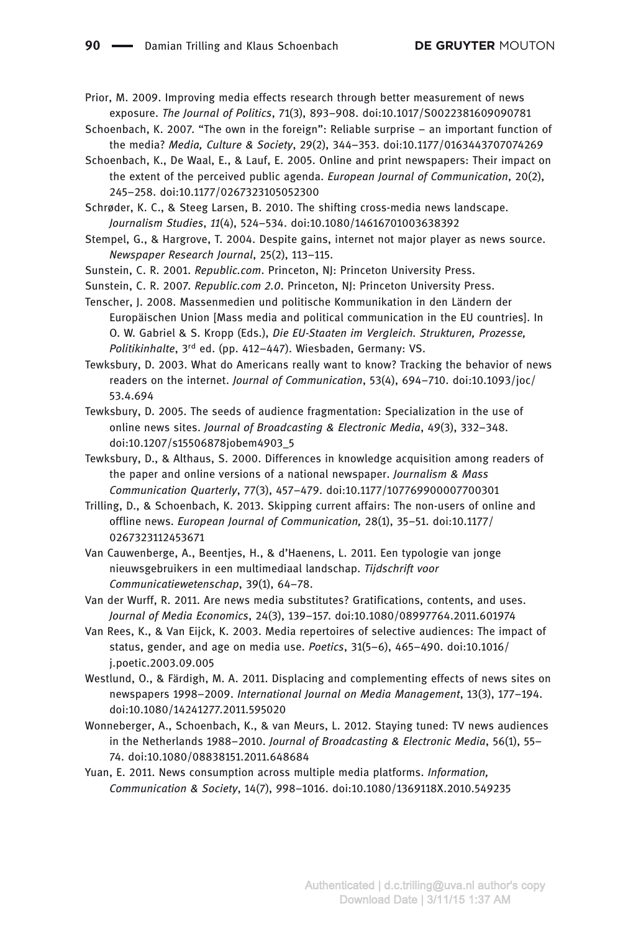Prior, M. 2009. Improving media effects research through better measurement of news exposure. *The Journal of Politics*, 71(3), 893–908. doi:10.1017/S0022381609090781

- Schoenbach, K. 2007. "The own in the foreign": Reliable surprise an important function of the media? *Media, Culture & Society*, 29(2), 344–353. doi:10.1177/0163443707074269
- Schoenbach, K., De Waal, E., & Lauf, E. 2005. Online and print newspapers: Their impact on the extent of the perceived public agenda. *European Journal of Communication*, 20(2), 245–258. doi:10.1177/0267323105052300

Schrøder, K. C., & Steeg Larsen, B. 2010. The shifting cross-media news landscape. *Journalism Studies*, *11*(4), 524–534. doi:10.1080/14616701003638392

Stempel, G., & Hargrove, T. 2004. Despite gains, internet not major player as news source. *Newspaper Research Journal*, 25(2), 113–115.

Sunstein, C. R. 2001. *Republic.com*. Princeton, NJ: Princeton University Press.

Sunstein, C. R. 2007. *Republic.com 2.0*. Princeton, NJ: Princeton University Press.

Tenscher, J. 2008. Massenmedien und politische Kommunikation in den Ländern der Europäischen Union [Mass media and political communication in the EU countries]. In O. W. Gabriel & S. Kropp (Eds.), *Die EU-Staaten im Vergleich. Strukturen, Prozesse, Politikinhalte*, 3rd ed. (pp. 412–447). Wiesbaden, Germany: VS.

Tewksbury, D. 2003. What do Americans really want to know? Tracking the behavior of news readers on the internet. *Journal of Communication*, 53(4), 694–710. doi:10.1093/joc/ 53.4.694

Tewksbury, D. 2005. The seeds of audience fragmentation: Specialization in the use of online news sites. *Journal of Broadcasting & Electronic Media*, 49(3), 332–348. doi:10.1207/s15506878jobem4903\_5

Tewksbury, D., & Althaus, S. 2000. Differences in knowledge acquisition among readers of the paper and online versions of a national newspaper. *Journalism & Mass Communication Quarterly*, 77(3), 457–479. doi:10.1177/107769900007700301

Trilling, D., & Schoenbach, K. 2013. Skipping current affairs: The non-users of online and offline news. *European Journal of Communication,* 28(1), 35–51. doi:10.1177/ 0267323112453671

Van Cauwenberge, A., Beentjes, H., & d'Haenens, L. 2011. Een typologie van jonge nieuwsgebruikers in een multimediaal landschap. *Tijdschrift voor Communicatiewetenschap*, 39(1), 64–78.

Van der Wurff, R. 2011. Are news media substitutes? Gratifications, contents, and uses. *Journal of Media Economics*, 24(3), 139–157. doi:10.1080/08997764.2011.601974

Van Rees, K., & Van Eijck, K. 2003. Media repertoires of selective audiences: The impact of status, gender, and age on media use. *Poetics*, 31(5–6), 465–490. doi:10.1016/ j.poetic.2003.09.005

- Westlund, O., & Färdigh, M. A. 2011. Displacing and complementing effects of news sites on newspapers 1998–2009. *International Journal on Media Management*, 13(3), 177–194. doi:10.1080/14241277.2011.595020
- Wonneberger, A., Schoenbach, K., & van Meurs, L. 2012. Staying tuned: TV news audiences in the Netherlands 1988–2010. *Journal of Broadcasting & Electronic Media*, 56(1), 55– 74. doi:10.1080/08838151.2011.648684
- Yuan, E. 2011. News consumption across multiple media platforms. *Information, Communication & Society*, 14(7), 998–1016. doi:10.1080/1369118X.2010.549235